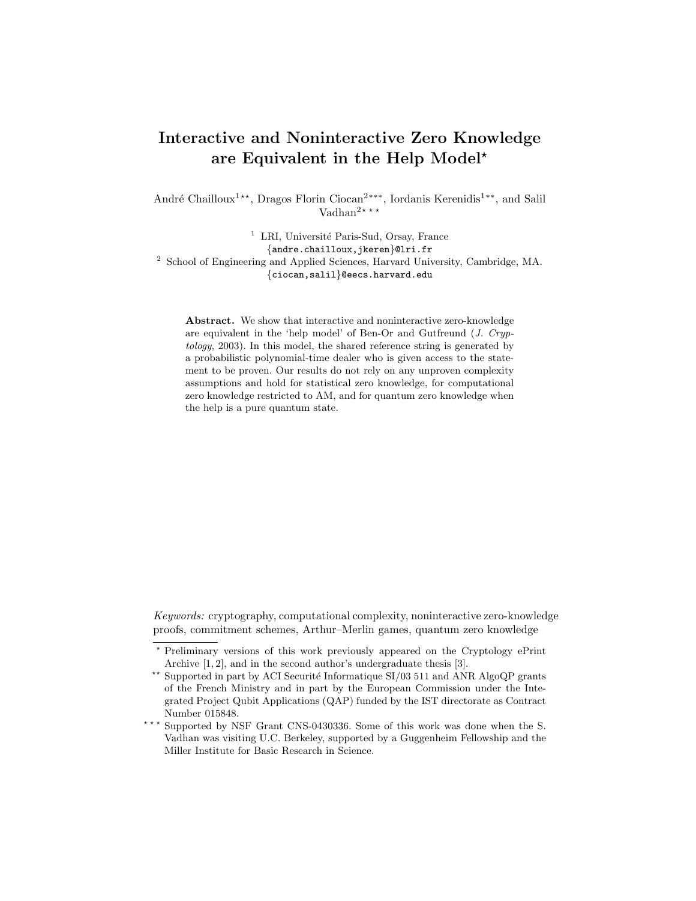# Interactive and Noninteractive Zero Knowledge are Equivalent in the Help Model?

André Chailloux<sup>1</sup><sup>★★</sup>, Dragos Florin Ciocan<sup>2</sup><sup>∗</sup>\*\*, Iordanis Kerenidis<sup>1</sup><sup>∗∗</sup>, and Salil Vadhan<sup>2\*\*\*</sup>

<sup>1</sup> LRI, Université Paris-Sud, Orsay, France {andre.chailloux,jkeren}@lri.fr <sup>2</sup> School of Engineering and Applied Sciences, Harvard University, Cambridge, MA. {ciocan,salil}@eecs.harvard.edu

Abstract. We show that interactive and noninteractive zero-knowledge are equivalent in the 'help model' of Ben-Or and Gutfreund (J. Cryptology, 2003). In this model, the shared reference string is generated by a probabilistic polynomial-time dealer who is given access to the statement to be proven. Our results do not rely on any unproven complexity assumptions and hold for statistical zero knowledge, for computational zero knowledge restricted to AM, and for quantum zero knowledge when the help is a pure quantum state.

Keywords: cryptography, computational complexity, noninteractive zero-knowledge proofs, commitment schemes, Arthur–Merlin games, quantum zero knowledge

<sup>?</sup> Preliminary versions of this work previously appeared on the Cryptology ePrint Archive [1, 2], and in the second author's undergraduate thesis [3].

<sup>\*\*</sup> Supported in part by ACI Securité Informatique SI/03 511 and ANR AlgoQP grants of the French Ministry and in part by the European Commission under the Integrated Project Qubit Applications (QAP) funded by the IST directorate as Contract Number 015848.

 $^{\star\;\star\;\star}$  Supported by NSF Grant CNS-0430336. Some of this work was done when the S. Vadhan was visiting U.C. Berkeley, supported by a Guggenheim Fellowship and the Miller Institute for Basic Research in Science.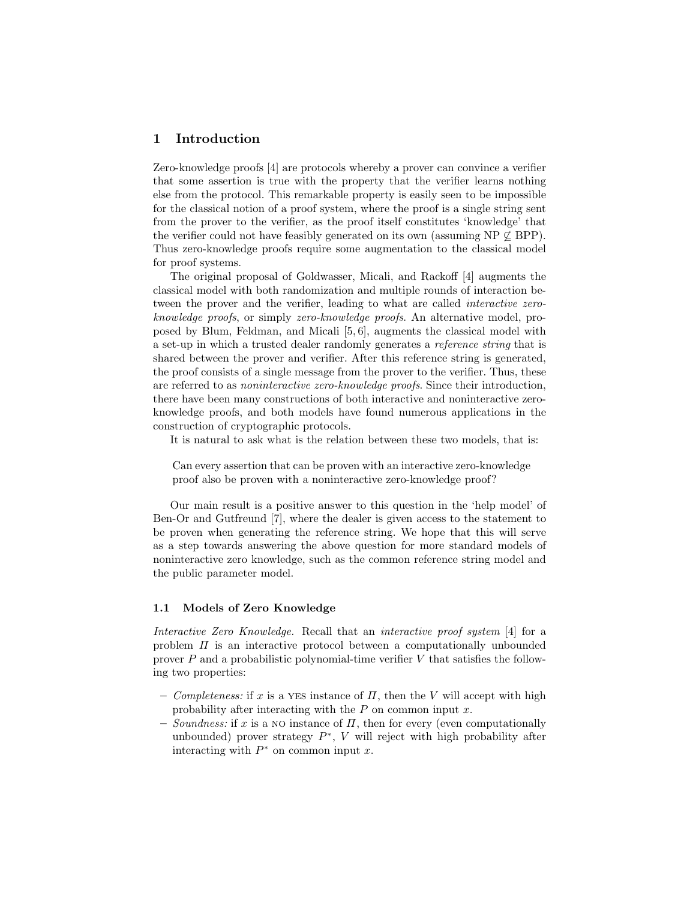### 1 Introduction

Zero-knowledge proofs [4] are protocols whereby a prover can convince a verifier that some assertion is true with the property that the verifier learns nothing else from the protocol. This remarkable property is easily seen to be impossible for the classical notion of a proof system, where the proof is a single string sent from the prover to the verifier, as the proof itself constitutes 'knowledge' that the verifier could not have feasibly generated on its own (assuming  $NP \not\subseteq BPP$ ). Thus zero-knowledge proofs require some augmentation to the classical model for proof systems.

The original proposal of Goldwasser, Micali, and Rackoff [4] augments the classical model with both randomization and multiple rounds of interaction between the prover and the verifier, leading to what are called *interactive zero*knowledge proofs, or simply zero-knowledge proofs. An alternative model, proposed by Blum, Feldman, and Micali [5, 6], augments the classical model with a set-up in which a trusted dealer randomly generates a reference string that is shared between the prover and verifier. After this reference string is generated, the proof consists of a single message from the prover to the verifier. Thus, these are referred to as noninteractive zero-knowledge proofs. Since their introduction, there have been many constructions of both interactive and noninteractive zeroknowledge proofs, and both models have found numerous applications in the construction of cryptographic protocols.

It is natural to ask what is the relation between these two models, that is:

Can every assertion that can be proven with an interactive zero-knowledge proof also be proven with a noninteractive zero-knowledge proof?

Our main result is a positive answer to this question in the 'help model' of Ben-Or and Gutfreund [7], where the dealer is given access to the statement to be proven when generating the reference string. We hope that this will serve as a step towards answering the above question for more standard models of noninteractive zero knowledge, such as the common reference string model and the public parameter model.

### 1.1 Models of Zero Knowledge

Interactive Zero Knowledge. Recall that an interactive proof system [4] for a problem  $\Pi$  is an interactive protocol between a computationally unbounded prover  $P$  and a probabilistic polynomial-time verifier  $V$  that satisfies the following two properties:

- Completeness: if x is a yes instance of  $\Pi$ , then the V will accept with high probability after interacting with the  $P$  on common input  $x$ .
- Soundness: if x is a NO instance of  $\Pi$ , then for every (even computationally unbounded) prover strategy  $P^*$ , V will reject with high probability after interacting with  $P^*$  on common input x.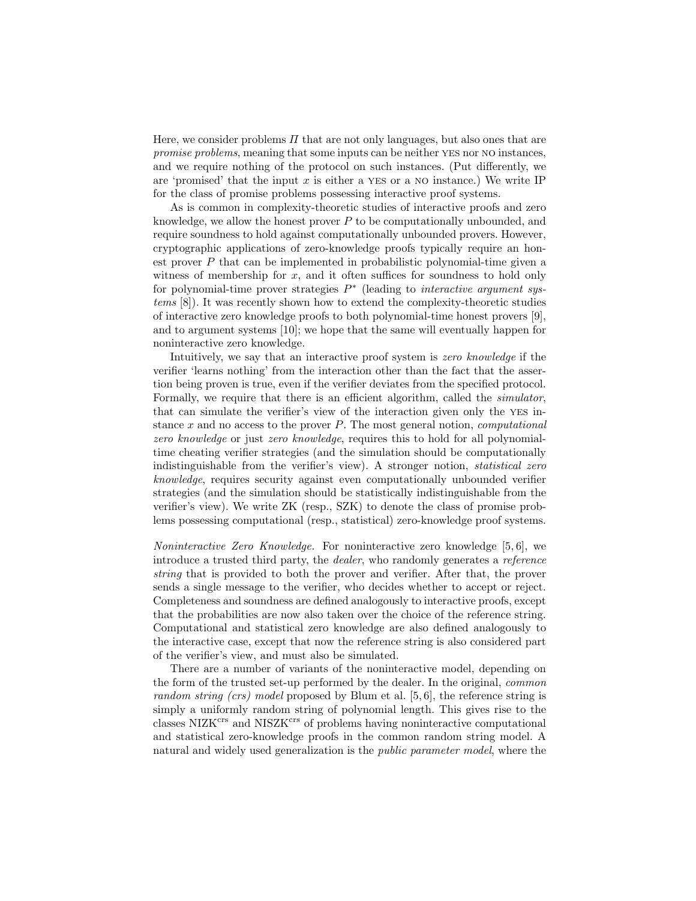Here, we consider problems  $\Pi$  that are not only languages, but also ones that are promise problems, meaning that some inputs can be neither yes nor no instances, and we require nothing of the protocol on such instances. (Put differently, we are 'promised' that the input  $x$  is either a YES or a NO instance.) We write IP for the class of promise problems possessing interactive proof systems.

As is common in complexity-theoretic studies of interactive proofs and zero knowledge, we allow the honest prover  $P$  to be computationally unbounded, and require soundness to hold against computationally unbounded provers. However, cryptographic applications of zero-knowledge proofs typically require an honest prover  $P$  that can be implemented in probabilistic polynomial-time given a witness of membership for  $x$ , and it often suffices for soundness to hold only for polynomial-time prover strategies  $P^*$  (leading to *interactive argument sys*tems [8]). It was recently shown how to extend the complexity-theoretic studies of interactive zero knowledge proofs to both polynomial-time honest provers [9], and to argument systems [10]; we hope that the same will eventually happen for noninteractive zero knowledge.

Intuitively, we say that an interactive proof system is zero knowledge if the verifier 'learns nothing' from the interaction other than the fact that the assertion being proven is true, even if the verifier deviates from the specified protocol. Formally, we require that there is an efficient algorithm, called the *simulator*, that can simulate the verifier's view of the interaction given only the yes instance  $x$  and no access to the prover  $P$ . The most general notion, *computational* zero knowledge or just zero knowledge, requires this to hold for all polynomialtime cheating verifier strategies (and the simulation should be computationally indistinguishable from the verifier's view). A stronger notion, *statistical zero* knowledge, requires security against even computationally unbounded verifier strategies (and the simulation should be statistically indistinguishable from the verifier's view). We write ZK (resp., SZK) to denote the class of promise problems possessing computational (resp., statistical) zero-knowledge proof systems.

Noninteractive Zero Knowledge. For noninteractive zero knowledge [5, 6], we introduce a trusted third party, the dealer, who randomly generates a reference string that is provided to both the prover and verifier. After that, the prover sends a single message to the verifier, who decides whether to accept or reject. Completeness and soundness are defined analogously to interactive proofs, except that the probabilities are now also taken over the choice of the reference string. Computational and statistical zero knowledge are also defined analogously to the interactive case, except that now the reference string is also considered part of the verifier's view, and must also be simulated.

There are a number of variants of the noninteractive model, depending on the form of the trusted set-up performed by the dealer. In the original, common random string (crs) model proposed by Blum et al. [5, 6], the reference string is simply a uniformly random string of polynomial length. This gives rise to the  $\alpha$ classes NIZK<sup>crs</sup> and NISZK<sup>crs</sup> of problems having noninteractive computational and statistical zero-knowledge proofs in the common random string model. A natural and widely used generalization is the public parameter model, where the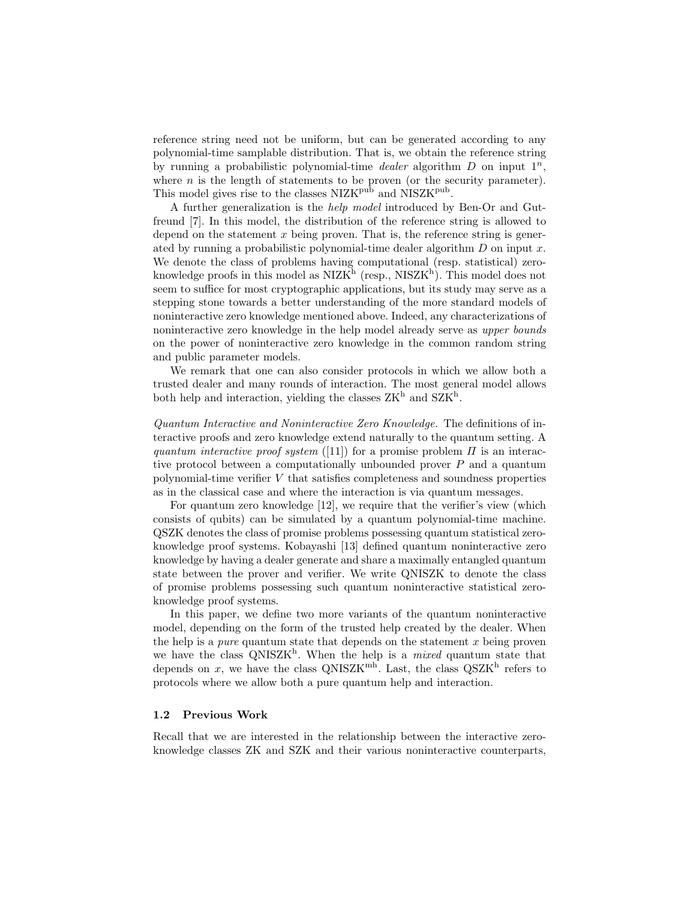reference string need not be uniform, but can be generated according to any polynomial-time samplable distribution. That is, we obtain the reference string by running a probabilistic polynomial-time *dealer* algorithm  $D$  on input  $1^n$ , where  $n$  is the length of statements to be proven (or the security parameter). This model gives rise to the classes  $NIZK<sup>pub</sup>$  and  $NISZK<sup>pub</sup>$ .

A further generalization is the help model introduced by Ben-Or and Gutfreund [7]. In this model, the distribution of the reference string is allowed to depend on the statement x being proven. That is, the reference string is generated by running a probabilistic polynomial-time dealer algorithm  $D$  on input  $x$ . We denote the class of problems having computational (resp. statistical) zeroknowledge proofs in this model as  $NIZK<sup>h</sup>$  (resp.,  $NISZK<sup>h</sup>$ ). This model does not seem to suffice for most cryptographic applications, but its study may serve as a stepping stone towards a better understanding of the more standard models of noninteractive zero knowledge mentioned above. Indeed, any characterizations of noninteractive zero knowledge in the help model already serve as upper bounds on the power of noninteractive zero knowledge in the common random string and public parameter models.

We remark that one can also consider protocols in which we allow both a trusted dealer and many rounds of interaction. The most general model allows both help and interaction, yielding the classes  $ZK<sup>h</sup>$  and  $SZK<sup>h</sup>$ .

Quantum Interactive and Noninteractive Zero Knowledge. The definitions of interactive proofs and zero knowledge extend naturally to the quantum setting. A quantum interactive proof system ([11]) for a promise problem  $\Pi$  is an interactive protocol between a computationally unbounded prover P and a quantum polynomial-time verifier V that satisfies completeness and soundness properties as in the classical case and where the interaction is via quantum messages.

For quantum zero knowledge [12], we require that the verifier's view (which consists of qubits) can be simulated by a quantum polynomial-time machine. QSZK denotes the class of promise problems possessing quantum statistical zeroknowledge proof systems. Kobayashi [13] defined quantum noninteractive zero knowledge by having a dealer generate and share a maximally entangled quantum state between the prover and verifier. We write QNISZK to denote the class of promise problems possessing such quantum noninteractive statistical zeroknowledge proof systems.

In this paper, we define two more variants of the quantum noninteractive model, depending on the form of the trusted help created by the dealer. When the help is a *pure* quantum state that depends on the statement  $x$  being proven we have the class  $QNISZK^h$ . When the help is a *mixed* quantum state that depends on x, we have the class  $\mathbf{QNISZK}^{\text{mh}}$ . Last, the class  $\mathbf{QSZK}^{\text{h}}$  refers to protocols where we allow both a pure quantum help and interaction.

#### 1.2 Previous Work

Recall that we are interested in the relationship between the interactive zeroknowledge classes ZK and SZK and their various noninteractive counterparts,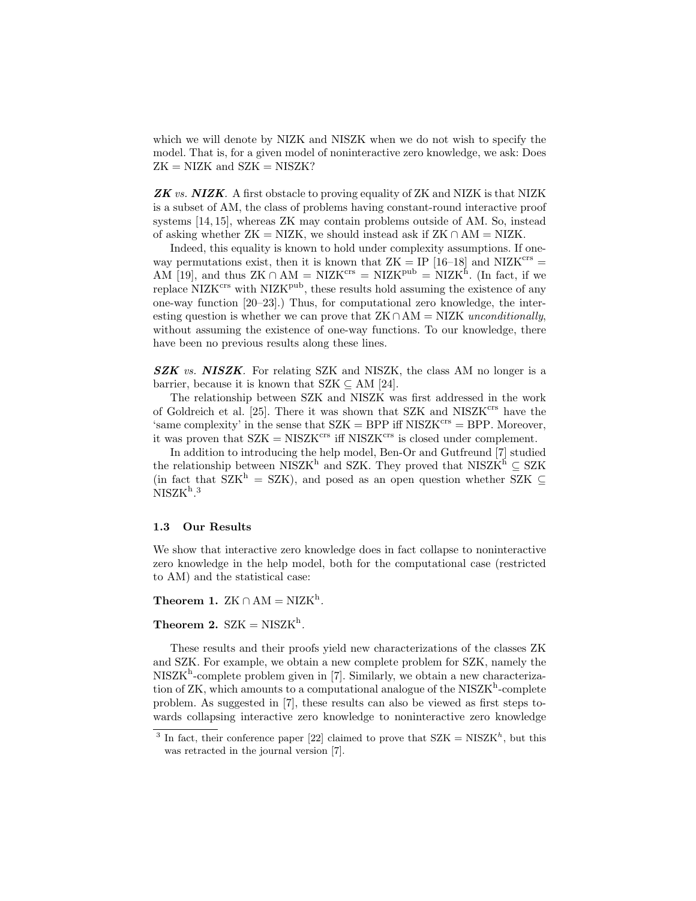which we will denote by NIZK and NISZK when we do not wish to specify the model. That is, for a given model of noninteractive zero knowledge, we ask: Does  $ZK = NIZK$  and  $SZK = NISZK$ ?

**ZK** vs. NIZK. A first obstacle to proving equality of ZK and NIZK is that NIZK is a subset of AM, the class of problems having constant-round interactive proof systems [14, 15], whereas ZK may contain problems outside of AM. So, instead of asking whether  $ZK = NIZK$ , we should instead ask if  $ZK \cap AM = NIZK$ .

Indeed, this equality is known to hold under complexity assumptions. If oneway permutations exist, then it is known that  $ZK = IP$  [16–18] and NIZK<sup>crs</sup> = AM [19], and thus  $ZK \cap AM = NIZK^{crs} = NIZK^{pub} = NIZK^{\hat{h}}$ . (In fact, if we replace  $NIZK<sup>crs</sup>$  with  $NIZK<sup>pub</sup>$ , these results hold assuming the existence of any one-way function [20–23].) Thus, for computational zero knowledge, the interesting question is whether we can prove that  $ZK \cap AM = NIZK$  unconditionally, without assuming the existence of one-way functions. To our knowledge, there have been no previous results along these lines.

**SZK** vs. **NISZK**. For relating SZK and NISZK, the class AM no longer is a barrier, because it is known that  $SZK \subseteq AM$  [24].

The relationship between SZK and NISZK was first addressed in the work of Goldreich et al. [25]. There it was shown that  $SZK$  and  $NISZK<sup>crs</sup>$  have the 'same complexity' in the sense that  $SZK = BPP$  iff  $NISZK<sup>crs</sup> = BPP$ . Moreover, it was proven that  $SZK = NISZK<sup>crs</sup>$  iff  $NISZK<sup>crs</sup>$  is closed under complement.

In addition to introducing the help model, Ben-Or and Gutfreund [7] studied the relationship between NISZK<sup>h</sup> and SZK. They proved that NISZK<sup>h</sup>  $\subseteq$  SZK (in fact that  $SZK^h = SZK$ ), and posed as an open question whether SZK  $\subset$  $NISZK<sup>h</sup>$ .<sup>3</sup>

### 1.3 Our Results

We show that interactive zero knowledge does in fact collapse to noninteractive zero knowledge in the help model, both for the computational case (restricted to AM) and the statistical case:

Theorem 1.  $ZK \cap AM = NIZK<sup>h</sup>$ .

# **Theorem 2.**  $SZK = NISZK^h$ .

These results and their proofs yield new characterizations of the classes ZK and SZK. For example, we obtain a new complete problem for SZK, namely the  $NISZK<sup>h</sup>$ -complete problem given in [7]. Similarly, we obtain a new characterization of  $ZK$ , which amounts to a computational analogue of the NISZK<sup>h</sup>-complete problem. As suggested in [7], these results can also be viewed as first steps towards collapsing interactive zero knowledge to noninteractive zero knowledge

<sup>&</sup>lt;sup>3</sup> In fact, their conference paper [22] claimed to prove that  $SZK = NISZK^h$ , but this was retracted in the journal version [7].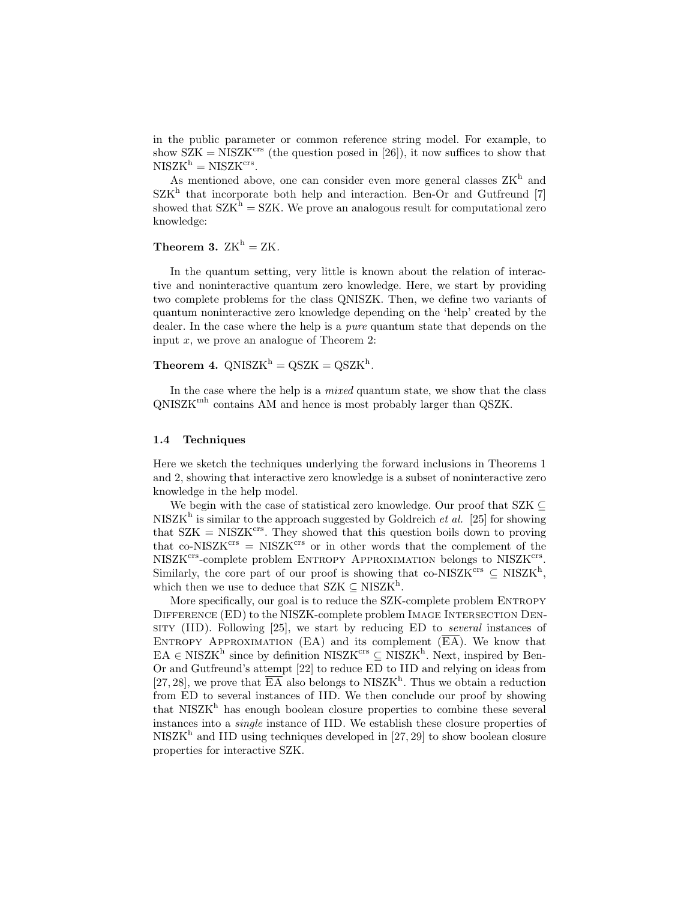in the public parameter or common reference string model. For example, to show  $SZK = NISZK<sup>crs</sup>$  (the question posed in [26]), it now suffices to show that  $NISZK<sup>h</sup> = NISZK<sup>crs</sup>.$ 

As mentioned above, one can consider even more general classes  $ZK<sup>h</sup>$  and  $SZK^h$  that incorporate both help and interaction. Ben-Or and Gutfreund [7] showed that  $SZK^h = SZK$ . We prove an analogous result for computational zero knowledge:

# **Theorem 3.**  $ZK^h = ZK$ .

In the quantum setting, very little is known about the relation of interactive and noninteractive quantum zero knowledge. Here, we start by providing two complete problems for the class QNISZK. Then, we define two variants of quantum noninteractive zero knowledge depending on the 'help' created by the dealer. In the case where the help is a pure quantum state that depends on the input  $x$ , we prove an analogue of Theorem 2:

# **Theorem 4.**  $QNISZK^h = QSZK = QSZK^h$ .

In the case where the help is a *mixed* quantum state, we show that the class  $QNISZK<sup>mh</sup>$  contains AM and hence is most probably larger than  $QSZK$ .

#### 1.4 Techniques

Here we sketch the techniques underlying the forward inclusions in Theorems 1 and 2, showing that interactive zero knowledge is a subset of noninteractive zero knowledge in the help model.

We begin with the case of statistical zero knowledge. Our proof that SZK  $\subseteq$ NISZK<sup>h</sup> is similar to the approach suggested by Goldreich *et al.* [25] for showing that  $SZK = NISZK<sup>crs</sup>$ . They showed that this question boils down to proving that co-NISZK<sup>crs</sup> = NISZK<sup>crs</sup> or in other words that the complement of the NISZK<sup>crs</sup>-complete problem ENTROPY APPROXIMATION belongs to NISZK<sup>crs</sup>. Similarly, the core part of our proof is showing that co-NISZK<sup>crs</sup>  $\subseteq$  NISZK<sup>h</sup>, which then we use to deduce that  $SZK \subseteq NISZK^h$ .

More specifically, our goal is to reduce the SZK-complete problem ENTROPY Difference (ED) to the NISZK-complete problem Image Intersection Den- $SITY$  (IID). Following [25], we start by reducing ED to *several* instances of ENTROPY APPROXIMATION  $(EA)$  and its complement  $(EA)$ . We know that  $EA \in NISZK^h$  since by definition  $NISZK^{crs} \subseteq NISZK^h$ . Next, inspired by Ben-Or and Gutfreund's attempt [22] to reduce ED to IID and relying on ideas from [27, 28], we prove that  $\overline{EA}$  also belongs to NISZK<sup>h</sup>. Thus we obtain a reduction from ED to several instances of IID. We then conclude our proof by showing that NISZK<sup>h</sup> has enough boolean closure properties to combine these several instances into a single instance of IID. We establish these closure properties of  $NISZK<sup>h</sup>$  and IID using techniques developed in [27, 29] to show boolean closure properties for interactive SZK.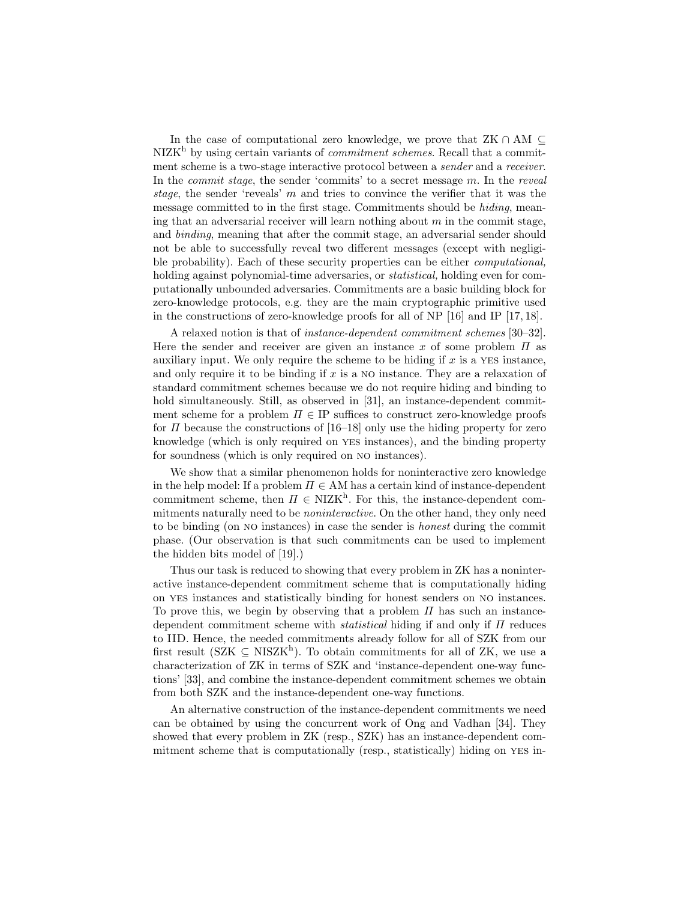In the case of computational zero knowledge, we prove that  $ZK \cap AM \subseteq$  $NIZK<sup>h</sup>$  by using certain variants of *commitment schemes*. Recall that a commitment scheme is a two-stage interactive protocol between a sender and a receiver. In the *commit stage*, the sender 'commits' to a secret message  $m$ . In the *reveal* stage, the sender 'reveals'  $m$  and tries to convince the verifier that it was the message committed to in the first stage. Commitments should be *hiding*, meaning that an adversarial receiver will learn nothing about  $m$  in the commit stage, and binding, meaning that after the commit stage, an adversarial sender should not be able to successfully reveal two different messages (except with negligible probability). Each of these security properties can be either *computational*, holding against polynomial-time adversaries, or *statistical*, holding even for computationally unbounded adversaries. Commitments are a basic building block for zero-knowledge protocols, e.g. they are the main cryptographic primitive used in the constructions of zero-knowledge proofs for all of NP [16] and IP [17, 18].

A relaxed notion is that of instance-dependent commitment schemes [30–32]. Here the sender and receiver are given an instance x of some problem  $\Pi$  as auxiliary input. We only require the scheme to be hiding if  $x$  is a YES instance, and only require it to be binding if  $x$  is a NO instance. They are a relaxation of standard commitment schemes because we do not require hiding and binding to hold simultaneously. Still, as observed in [31], an instance-dependent commitment scheme for a problem  $\Pi \in \mathrm{IP}$  suffices to construct zero-knowledge proofs for  $\Pi$  because the constructions of [16–18] only use the hiding property for zero knowledge (which is only required on yes instances), and the binding property for soundness (which is only required on no instances).

We show that a similar phenomenon holds for noninteractive zero knowledge in the help model: If a problem  $\Pi \in AM$  has a certain kind of instance-dependent commitment scheme, then  $\Pi \in NLZK^h$ . For this, the instance-dependent commitments naturally need to be noninteractive. On the other hand, they only need to be binding (on no instances) in case the sender is honest during the commit phase. (Our observation is that such commitments can be used to implement the hidden bits model of [19].)

Thus our task is reduced to showing that every problem in ZK has a noninteractive instance-dependent commitment scheme that is computationally hiding on yes instances and statistically binding for honest senders on no instances. To prove this, we begin by observing that a problem  $\Pi$  has such an instancedependent commitment scheme with *statistical* hiding if and only if  $\Pi$  reduces to IID. Hence, the needed commitments already follow for all of SZK from our first result ( $SZK \subseteq NISZK^h$ ). To obtain commitments for all of  $ZK$ , we use a characterization of ZK in terms of SZK and 'instance-dependent one-way functions' [33], and combine the instance-dependent commitment schemes we obtain from both SZK and the instance-dependent one-way functions.

An alternative construction of the instance-dependent commitments we need can be obtained by using the concurrent work of Ong and Vadhan [34]. They showed that every problem in ZK (resp., SZK) has an instance-dependent commitment scheme that is computationally (resp., statistically) hiding on yes in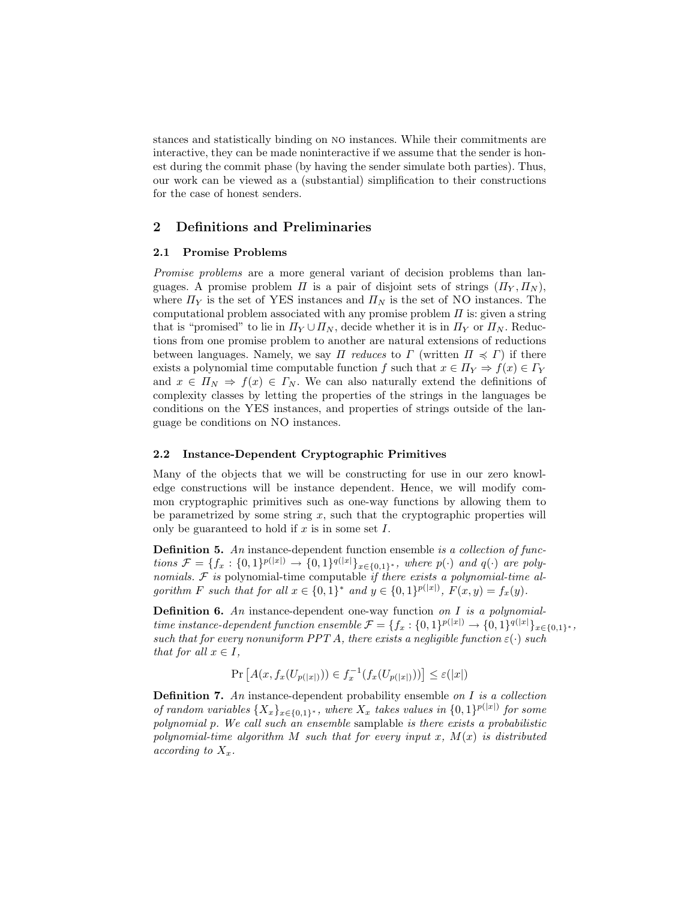stances and statistically binding on no instances. While their commitments are interactive, they can be made noninteractive if we assume that the sender is honest during the commit phase (by having the sender simulate both parties). Thus, our work can be viewed as a (substantial) simplification to their constructions for the case of honest senders.

### 2 Definitions and Preliminaries

### 2.1 Promise Problems

Promise problems are a more general variant of decision problems than languages. A promise problem  $\Pi$  is a pair of disjoint sets of strings  $(\Pi_Y, \Pi_N)$ , where  $\Pi_Y$  is the set of YES instances and  $\Pi_N$  is the set of NO instances. The computational problem associated with any promise problem  $\Pi$  is: given a string that is "promised" to lie in  $\Pi_Y \cup \Pi_N$ , decide whether it is in  $\Pi_Y$  or  $\Pi_N$ . Reductions from one promise problem to another are natural extensions of reductions between languages. Namely, we say  $\Pi$  reduces to  $\Gamma$  (written  $\Pi \preccurlyeq \Gamma$ ) if there exists a polynomial time computable function f such that  $x \in \Pi_Y \Rightarrow f(x) \in \Gamma_Y$ and  $x \in \Pi_N \Rightarrow f(x) \in \Gamma_N$ . We can also naturally extend the definitions of complexity classes by letting the properties of the strings in the languages be conditions on the YES instances, and properties of strings outside of the language be conditions on NO instances.

### 2.2 Instance-Dependent Cryptographic Primitives

Many of the objects that we will be constructing for use in our zero knowledge constructions will be instance dependent. Hence, we will modify common cryptographic primitives such as one-way functions by allowing them to be parametrized by some string  $x$ , such that the cryptographic properties will only be guaranteed to hold if  $x$  is in some set  $I$ .

Definition 5. An instance-dependent function ensemble is a collection of functions  $\mathcal{F} = \{f_x : \{0,1\}^{p(|x|)} \to \{0,1\}^{q(|x|)}\}_{x \in \{0,1\}^*}$ , where  $p(\cdot)$  and  $q(\cdot)$  are polynomials.  $\mathcal F$  is polynomial-time computable if there exists a polynomial-time algorithm F such that for all  $x \in \{0,1\}^*$  and  $y \in \{0,1\}^{p(|x|)}$ ,  $F(x,y) = f_x(y)$ .

**Definition 6.** An instance-dependent one-way function on  $I$  is a polynomialtime instance-dependent function ensemble  $\mathcal{F} = \{f_x : \{0,1\}^{p(|x|)} \to \{0,1\}^{q(|x|)}\}_{x \in \{0,1\}^*}$ , such that for every nonuniform PPT A, there exists a negligible function  $\varepsilon(\cdot)$  such that for all  $x \in I$ ,

$$
\Pr\left[A(x, f_x(U_{p(|x|)})) \in f_x^{-1}(f_x(U_{p(|x|)}))\right] \le \varepsilon(|x|)
$$

**Definition 7.** An instance-dependent probability ensemble on I is a collection of random variables  $\{X_x\}_{x\in\{0,1\}^*}$ , where  $X_x$  takes values in  $\{0,1\}^{p(|x|)}$  for some polynomial p. We call such an ensemble samplable is there exists a probabilistic polynomial-time algorithm M such that for every input x,  $M(x)$  is distributed according to  $X_x$ .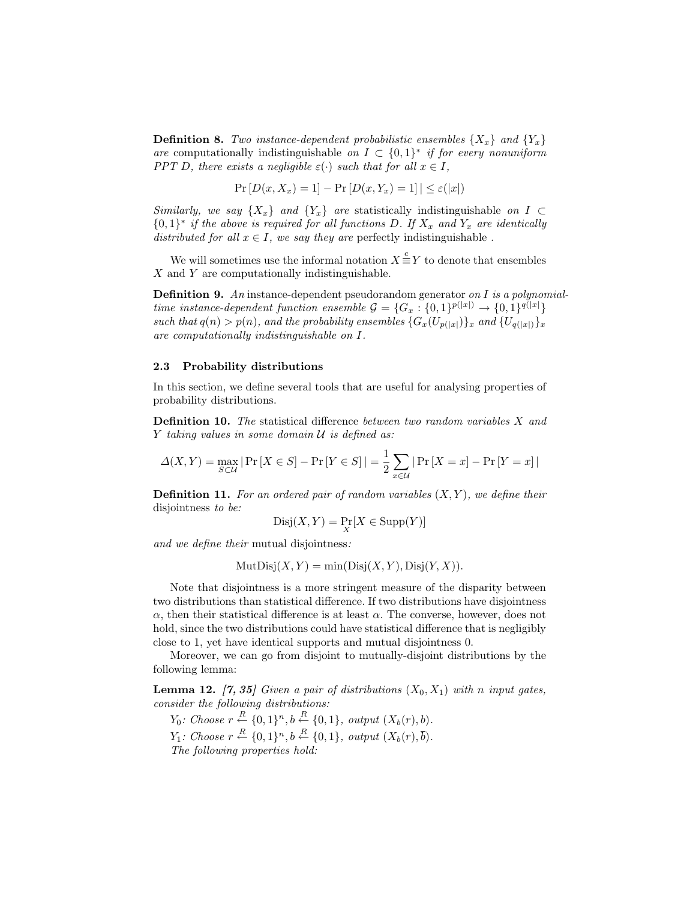**Definition 8.** Two instance-dependent probabilistic ensembles  $\{X_x\}$  and  $\{Y_x\}$ are computationally indistinguishable on  $I \subset \{0,1\}^*$  if for every nonuniform PPT D, there exists a negligible  $\varepsilon(\cdot)$  such that for all  $x \in I$ ,

$$
Pr[D(x, X_x) = 1] - Pr[D(x, Y_x) = 1]| \le \varepsilon(|x|)
$$

Similarly, we say  $\{X_x\}$  and  $\{Y_x\}$  are statistically indistinguishable on  $I \subset$  ${0,1}^*$  if the above is required for all functions D. If  $X_x$  and  $Y_x$  are identically distributed for all  $x \in I$ , we say they are perfectly indistinguishable.

We will sometimes use the informal notation  $X \stackrel{c}{=} Y$  to denote that ensembles X and Y are computationally indistinguishable.

**Definition 9.** An instance-dependent pseudorandom generator on  $I$  is a polynomialtime instance-dependent function ensemble  $\mathcal{G} = \{G_x : \{0,1\}^{p(|x|)} \rightarrow \{0,1\}^{q(|x|)}\}$ such that  $q(n) > p(n)$ , and the probability ensembles  ${G_x(U_{p(|x|)})_x}$  and  ${U_{q(|x|)}}_x$ are computationally indistinguishable on I.

#### 2.3 Probability distributions

In this section, we define several tools that are useful for analysing properties of probability distributions.

Definition 10. The statistical difference between two random variables X and Y taking values in some domain U is defined as:

$$
\Delta(X,Y) = \max_{S \subset \mathcal{U}} | \Pr\left[X \in S\right] - \Pr\left[Y \in S\right]| = \frac{1}{2} \sum_{x \in \mathcal{U}} | \Pr\left[X = x\right] - \Pr\left[Y = x\right]|
$$

**Definition 11.** For an ordered pair of random variables  $(X, Y)$ , we define their disjointness to be:

$$
Disj(X, Y) = \Pr_X[X \in \text{Supp}(Y)]
$$

and we define their mutual disjointness:

 $\text{MutDisj}(X, Y) = \min(\text{Disj}(X, Y), \text{Disj}(Y, X)).$ 

Note that disjointness is a more stringent measure of the disparity between two distributions than statistical difference. If two distributions have disjointness  $\alpha$ , then their statistical difference is at least  $\alpha$ . The converse, however, does not hold, since the two distributions could have statistical difference that is negligibly close to 1, yet have identical supports and mutual disjointness 0.

Moreover, we can go from disjoint to mutually-disjoint distributions by the following lemma:

**Lemma 12.** [7, 35] Given a pair of distributions  $(X_0, X_1)$  with n input gates, consider the following distributions:

 $Y_0$ : Choose  $r \stackrel{R}{\leftarrow} \{0,1\}^n$ ,  $b \stackrel{R}{\leftarrow} \{0,1\}$ , output  $(X_b(r), b)$ .  $Y_1$ : Choose  $r \stackrel{R}{\leftarrow} \{0,1\}^n$ ,  $b \stackrel{R}{\leftarrow} \{0,1\}$ , output  $(X_b(r), \overline{b})$ . The following properties hold: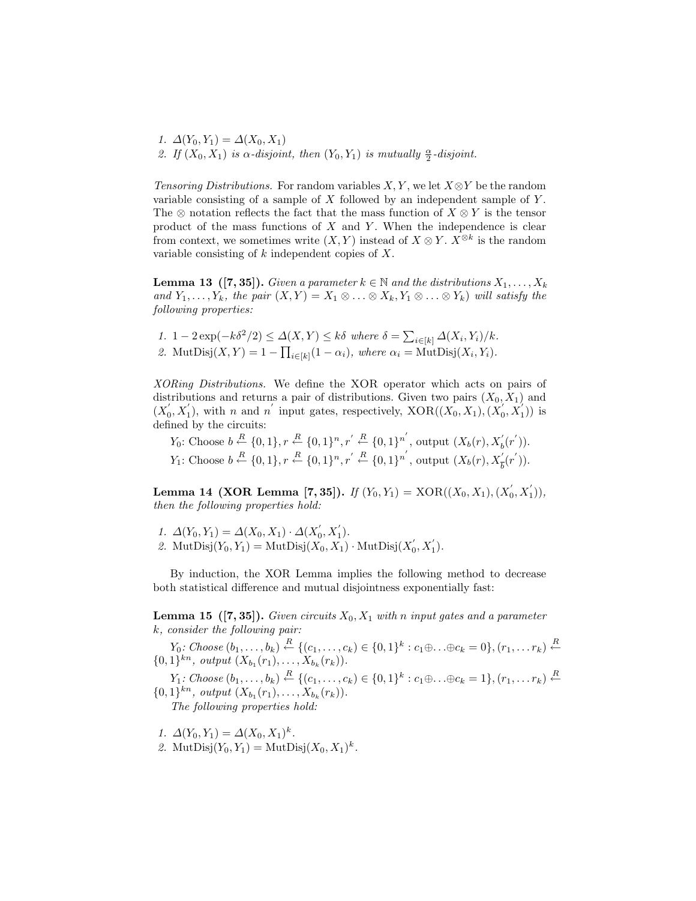1.  $\Delta(Y_0, Y_1) = \Delta(X_0, X_1)$ 2. If  $(X_0, X_1)$  is  $\alpha$ -disjoint, then  $(Y_0, Y_1)$  is mutually  $\frac{\alpha}{2}$ -disjoint.

Tensoring Distributions. For random variables  $X, Y$ , we let  $X \otimes Y$  be the random variable consisting of a sample of  $X$  followed by an independent sample of  $Y$ . The ⊗ notation reflects the fact that the mass function of  $X \otimes Y$  is the tensor product of the mass functions of  $X$  and  $Y$ . When the independence is clear from context, we sometimes write  $(X, Y)$  instead of  $X \otimes Y$ .  $X^{\otimes k}$  is the random variable consisting of  $k$  independent copies of  $X$ .

**Lemma 13** ([7, 35]). Given a parameter  $k \in \mathbb{N}$  and the distributions  $X_1, \ldots, X_k$ and  $Y_1, \ldots, Y_k$ , the pair  $(X, Y) = X_1 \otimes \ldots \otimes X_k, Y_1 \otimes \ldots \otimes Y_k)$  will satisfy the following properties:

1. 
$$
1 - 2\exp(-k\delta^2/2) \leq \Delta(X, Y) \leq k\delta
$$
 where  $\delta = \sum_{i \in [k]} \Delta(X_i, Y_i)/k$ . 2. MutDisj $(X, Y) = 1 - \prod_{i \in [k]} (1 - \alpha_i)$ , where  $\alpha_i = \text{MutDisj}(X_i, Y_i)$ .

XORing Distributions. We define the XOR operator which acts on pairs of distributions and returns a pair of distributions. Given two pairs  $(X_0, X_1)$  and  $(X'_0, X'_1)$ , with n and n' input gates, respectively,  $XOR((X_0, X_1), (X'_0, X'_1))$  is defined by the circuits:

 $Y_0$ : Choose  $b \stackrel{R}{\leftarrow} \{0,1\}$ ,  $r \stackrel{R}{\leftarrow} \{0,1\}^n$ ,  $r' \stackrel{R}{\leftarrow} \{0,1\}^{n'}$ , output  $(X_b(r), X'_b(r'))$ .  $Y_1$ : Choose  $b \stackrel{R}{\leftarrow} \{0,1\}, r \stackrel{R}{\leftarrow} \{0,1\}^n, r' \stackrel{R}{\leftarrow} \{0,1\}^{n'}$ , output  $(X_b(r), X_{\overline{b}}(r')).$ 

Lemma 14 (XOR Lemma [7, 35]). If  $(Y_0, Y_1) = \text{XOR}((X_0, X_1), (X_0^{'}, X_1^{'})),$ then the following properties hold:

1.  $\Delta(Y_0, Y_1) = \Delta(X_0, X_1) \cdot \Delta(X'_0, X'_1)$ . 2. MutDisj $(Y_0, Y_1) = \text{MutDisj}(X_0, X_1) \cdot \text{MutDisj}(X'_0, X'_1)$ .

By induction, the XOR Lemma implies the following method to decrease both statistical difference and mutual disjointness exponentially fast:

**Lemma 15** ([7, 35]). Given circuits  $X_0, X_1$  with n input gates and a parameter k, consider the following pair:

 $Y_0: Choose (b_1, \ldots, b_k) \stackrel{R}{\leftarrow} \{(c_1, \ldots, c_k) \in \{0, 1\}^k : c_1 \oplus \ldots \oplus c_k = 0\}, (r_1, \ldots r_k) \stackrel{R}{\leftarrow}$  $\{0,1\}^{kn}$ , output  $(X_{b_1}(r_1),...,X_{b_k}(r_k)).$ 

 $Y_1: Choose (b_1, ..., b_k) \stackrel{R}{\leftarrow} \{(c_1, ..., c_k) \in \{0, 1\}^k : c_1 \oplus ... \oplus c_k = 1\}, (r_1, ... r_k) \stackrel{R}{\leftarrow}$  $\{0,1\}^{kn}$ , output  $(X_{b_1}(r_1),...,X_{b_k}(r_k)).$ The following properties hold:

1.  $\Delta(Y_0, Y_1) = \Delta(X_0, X_1)^k$ .

2. MutDisj $(Y_0, Y_1) = \text{MutDisj}(X_0, X_1)^k$ .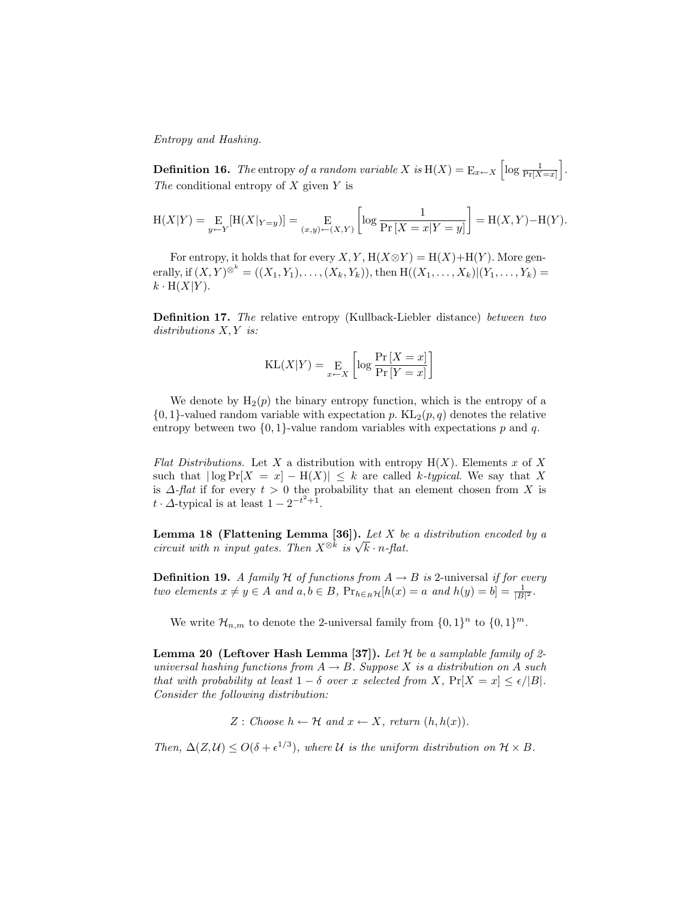Entropy and Hashing.

**Definition 16.** The entropy of a random variable X is  $H(X) = E_{x \leftarrow X} \left[ \log \frac{1}{\Pr[X=x]} \right]$ . The conditional entropy of  $X$  given  $Y$  is

$$
H(X|Y) = \underset{y \leftarrow Y}{\mathbb{E}}[H(X|_{Y=y})] = \underset{(x,y) \leftarrow (X,Y)}{\mathbb{E}}\left[\log \frac{1}{\Pr[X=x|Y=y]}\right] = H(X,Y) - H(Y).
$$

For entropy, it holds that for every X, Y, H(X⊗Y) = H(X)+H(Y). More generally, if  $(X, Y)^{\otimes^k} = ((X_1, Y_1), \ldots, (X_k, Y_k)),$  then  $H((X_1, \ldots, X_k)|(Y_1, \ldots, Y_k))$  $k \cdot H(X|Y)$ .

Definition 17. The relative entropy (Kullback-Liebler distance) between two distributions  $X, Y$  is:

$$
KL(X|Y) = \underset{x \leftarrow X}{\mathbb{E}} \left[ \log \frac{\Pr\left[X = x\right]}{\Pr\left[Y = x\right]} \right]
$$

We denote by  $H_2(p)$  the binary entropy function, which is the entropy of a  $\{0, 1\}$ -valued random variable with expectation p.  $KL_2(p, q)$  denotes the relative entropy between two  $\{0, 1\}$ -value random variables with expectations p and q.

Flat Distributions. Let X a distribution with entropy  $H(X)$ . Elements x of X such that  $|\log \Pr[X = x] - H(X)| \leq k$  are called k-typical. We say that X is  $\Delta$ -*flat* if for every  $t > 0$  the probability that an element chosen from X is  $t \cdot \Delta$ -typical is at least  $1 - 2^{-t^2 + 1}$ .

Lemma 18 (Flattening Lemma [36]). Let  $X$  be a distribution encoded by a **Lemma 18 (Flattening Lemma [36]).** Let X be circuit with n input gates. Then  $X^{\otimes k}$  is  $\sqrt{k} \cdot n$ -flat.

**Definition 19.** A family H of functions from  $A \rightarrow B$  is 2-universal if for every two elements  $x \neq y \in A$  and  $a, b \in B$ ,  $Pr_{h \in_R} \mathcal{H}[h(x) = a$  and  $h(y) = b] = \frac{1}{|B|^2}$ .

We write  $\mathcal{H}_{n,m}$  to denote the 2-universal family from  $\{0,1\}^n$  to  $\{0,1\}^m$ .

Lemma 20 (Leftover Hash Lemma [37]). Let  $H$  be a samplable family of 2universal hashing functions from  $A \rightarrow B$ . Suppose X is a distribution on A such that with probability at least  $1 - \delta$  over x selected from X,  $Pr[X = x] \leq \epsilon / |B|$ . Consider the following distribution:

 $Z: Choose \, h \leftarrow \mathcal{H} \, and \, x \leftarrow X, \, return \, (h, h(x)).$ 

Then,  $\Delta(Z,\mathcal{U}) \leq O(\delta + \epsilon^{1/3})$ , where  $\mathcal{U}$  is the uniform distribution on  $\mathcal{H} \times B$ .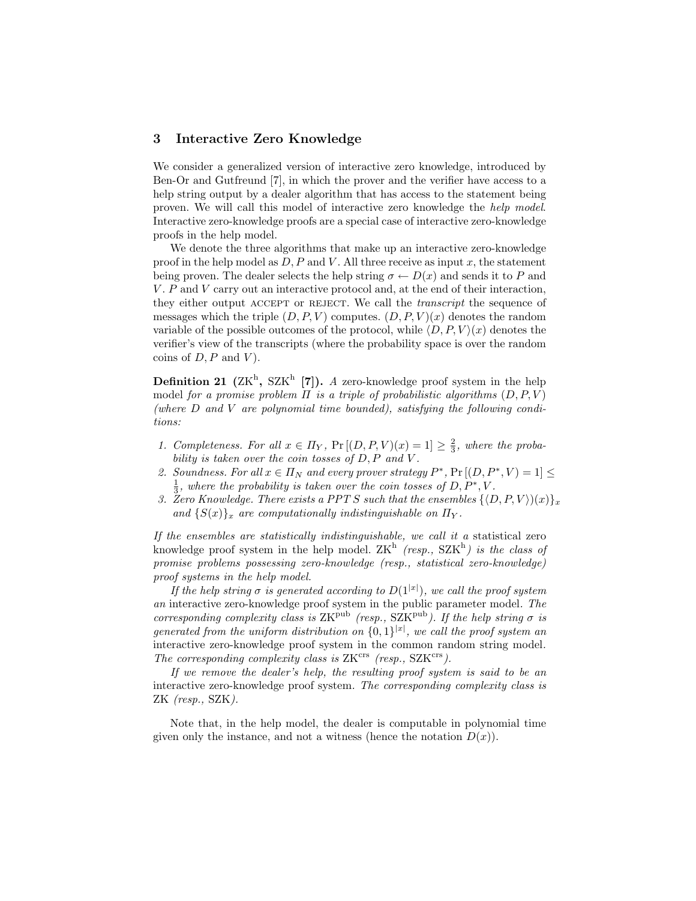### 3 Interactive Zero Knowledge

We consider a generalized version of interactive zero knowledge, introduced by Ben-Or and Gutfreund [7], in which the prover and the verifier have access to a help string output by a dealer algorithm that has access to the statement being proven. We will call this model of interactive zero knowledge the help model. Interactive zero-knowledge proofs are a special case of interactive zero-knowledge proofs in the help model.

We denote the three algorithms that make up an interactive zero-knowledge proof in the help model as  $D$ ,  $P$  and  $V$ . All three receive as input  $x$ , the statement being proven. The dealer selects the help string  $\sigma \leftarrow D(x)$  and sends it to P and V. P and V carry out an interactive protocol and, at the end of their interaction, they either output ACCEPT or REJECT. We call the *transcript* the sequence of messages which the triple  $(D, P, V)$  computes.  $(D, P, V)(x)$  denotes the random variable of the possible outcomes of the protocol, while  $\langle D, P, V \rangle(x)$  denotes the verifier's view of the transcripts (where the probability space is over the random coins of  $D, P$  and  $V$ ).

**Definition 21** ( $ZK^h$ ,  $SZK^h$  [7]). A zero-knowledge proof system in the help model for a promise problem  $\Pi$  is a triple of probabilistic algorithms  $(D, P, V)$ (where  $D$  and  $V$  are polynomial time bounded), satisfying the following conditions:

- 1. Completeness. For all  $x \in \Pi_Y$ ,  $\Pr[(D, P, V)(x) = 1] \geq \frac{2}{3}$ , where the probability is taken over the coin tosses of  $D, P$  and  $V$ .
- 2. Soundness. For all  $x \in \Pi_N$  and every prover strategy  $P^*$ ,  $Pr[(D, P^*, V) = 1] \leq$  $\frac{1}{3}$ , where the probability is taken over the coin tosses of D,  $\ddot{P}^*$ , V.
- 3. Zero Knowledge. There exists a PPT S such that the ensembles  $\{ \langle D, P, V \rangle | (x) \}_x$ and  $\{S(x)\}_x$  are computationally indistinguishable on  $\Pi_Y$ .

If the ensembles are statistically indistinguishable, we call it a statistical zero knowledge proof system in the help model.  $ZK^h$  (resp.,  $SZK^h$ ) is the class of promise problems possessing zero-knowledge (resp., statistical zero-knowledge) proof systems in the help model.

If the help string  $\sigma$  is generated according to  $D(1^{|x|})$ , we call the proof system an interactive zero-knowledge proof system in the public parameter model. The corresponding complexity class is  $ZK^{pub}$  (resp.,  $SZK^{pub}$ ). If the help string  $\sigma$  is generated from the uniform distribution on  $\{0,1\}^{|x|}$ , we call the proof system an interactive zero-knowledge proof system in the common random string model. The corresponding complexity class is  $ZK<sup>crs</sup>$  (resp.,  $SZK<sup>crs</sup>$ ).

If we remove the dealer's help, the resulting proof system is said to be an interactive zero-knowledge proof system. The corresponding complexity class is ZK (resp., SZK).

Note that, in the help model, the dealer is computable in polynomial time given only the instance, and not a witness (hence the notation  $D(x)$ ).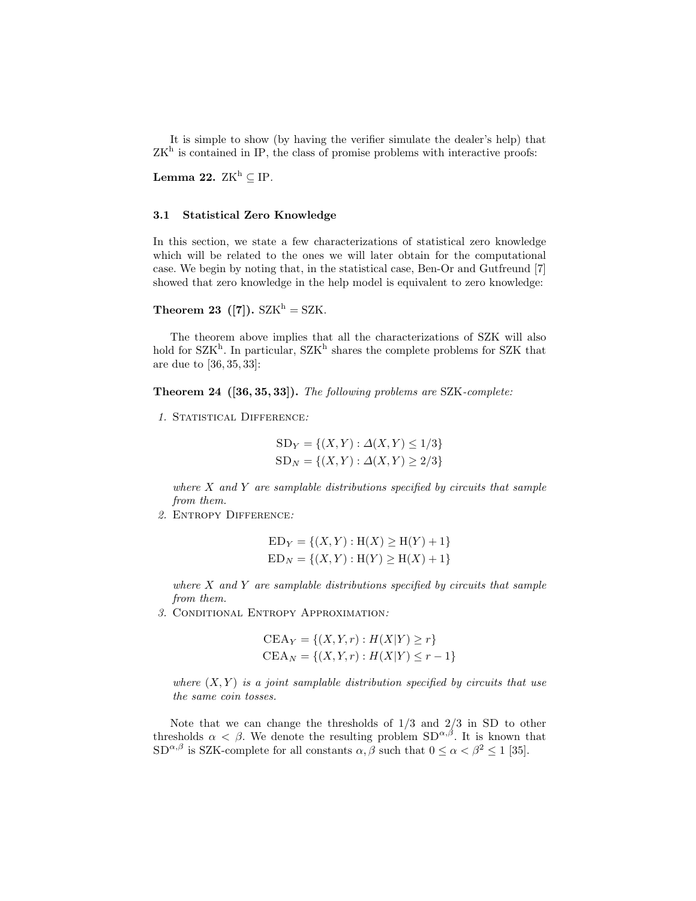It is simple to show (by having the verifier simulate the dealer's help) that  $ZK<sup>h</sup>$  is contained in IP, the class of promise problems with interactive proofs:

Lemma 22.  $\mathbb{ZK}^h \subseteq \mathbb{IP}$ .

### 3.1 Statistical Zero Knowledge

In this section, we state a few characterizations of statistical zero knowledge which will be related to the ones we will later obtain for the computational case. We begin by noting that, in the statistical case, Ben-Or and Gutfreund [7] showed that zero knowledge in the help model is equivalent to zero knowledge:

Theorem 23 ([7]).  $SZK^h = SZK$ .

The theorem above implies that all the characterizations of SZK will also hold for  $SZK^h$ . In particular,  $SZK^h$  shares the complete problems for SZK that are due to [36, 35, 33]:

Theorem 24 ([36, 35, 33]). The following problems are SZK-complete:

1. STATISTICAL DIFFERENCE:

$$
SD_Y = \{(X, Y) : \Delta(X, Y) \le 1/3\}
$$
  

$$
SD_N = \{(X, Y) : \Delta(X, Y) \ge 2/3\}
$$

where  $X$  and  $Y$  are samplable distributions specified by circuits that sample from them.

2. Entropy Difference:

$$
ED_Y = \{(X, Y) : H(X) \ge H(Y) + 1\}
$$
  

$$
ED_N = \{(X, Y) : H(Y) \ge H(X) + 1\}
$$

where  $X$  and  $Y$  are samplable distributions specified by circuits that sample from them.

3. Conditional Entropy Approximation:

$$
CEA_Y = \{(X, Y, r) : H(X|Y) \ge r\}
$$
  
 
$$
CEA_N = \{(X, Y, r) : H(X|Y) \le r - 1\}
$$

where  $(X, Y)$  is a joint samplable distribution specified by circuits that use the same coin tosses.

Note that we can change the thresholds of 1/3 and 2/3 in SD to other thresholds  $\alpha < \beta$ . We denote the resulting problem  $SD^{\alpha,\beta}$ . It is known that SD<sup> $\alpha,\beta$ </sup> is SZK-complete for all constants  $\alpha,\beta$  such that  $0 \leq \alpha < \beta^2 \leq 1$  [35].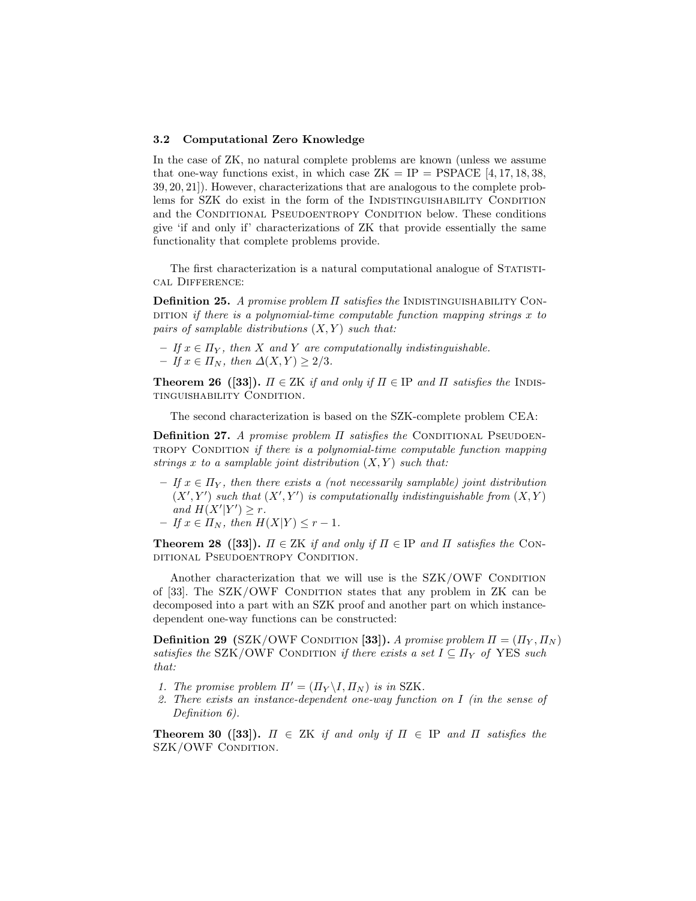#### 3.2 Computational Zero Knowledge

In the case of ZK, no natural complete problems are known (unless we assume that one-way functions exist, in which case  $ZK = IP = PSPACE [4, 17, 18, 38,$ 39, 20, 21]). However, characterizations that are analogous to the complete problems for SZK do exist in the form of the INDISTINGUISHABILITY CONDITION and the CONDITIONAL PSEUDOENTROPY CONDITION below. These conditions give 'if and only if' characterizations of ZK that provide essentially the same functionality that complete problems provide.

The first characterization is a natural computational analogue of STATISTIcal Difference:

**Definition 25.** A promise problem  $\Pi$  satisfies the INDISTINGUISHABILITY CON-DITION if there is a polynomial-time computable function mapping strings x to pairs of samplable distributions  $(X, Y)$  such that:

– If  $x \in \Pi_Y$ , then X and Y are computationally indistinguishable.  $-If \, x \in \Pi_N$ , then  $\Delta(X, Y) \geq 2/3$ .

**Theorem 26 ([33]).**  $\Pi \in \mathbb{Z}$ K if and only if  $\Pi \in \mathbb{IP}$  and  $\Pi$  satisfies the INDIStinguishability Condition.

The second characterization is based on the SZK-complete problem CEA:

**Definition 27.** A promise problem  $\Pi$  satisfies the CONDITIONAL PSEUDOEN-TROPY CONDITION if there is a polynomial-time computable function mapping strings x to a samplable joint distribution  $(X, Y)$  such that:

– If  $x \in \Pi_Y$ , then there exists a (not necessarily samplable) joint distribution  $(X', Y')$  such that  $(X', Y')$  is computationally indistinguishable from  $(X, Y)$ and  $H(X'|Y') \geq r$ .

– If  $x \in \Pi_N$ , then  $H(X|Y) \leq r-1$ .

**Theorem 28 ([33]).**  $\Pi \in \mathbb{Z}K$  if and only if  $\Pi \in \mathbb{IP}$  and  $\Pi$  satisfies the CONditional Pseudoentropy Condition.

Another characterization that we will use is the  $SZK/OWF$  CONDITION of [33]. The  $SZK/OWF$  CONDITION states that any problem in  $ZK$  can be decomposed into a part with an SZK proof and another part on which instancedependent one-way functions can be constructed:

**Definition 29** (SZK/OWF CONDITION [33]). A promise problem  $\Pi = (H_Y, H_N)$ satisfies the SZK/OWF CONDITION if there exists a set  $I \subseteq \Pi_Y$  of YES such that:

- 1. The promise problem  $\Pi' = (\Pi_Y \backslash I, \Pi_N)$  is in SZK.
- 2. There exists an instance-dependent one-way function on I (in the sense of Definition 6).

**Theorem 30 ([33]).**  $\Pi \in \mathbb{Z}K$  if and only if  $\Pi \in \mathbb{P}$  and  $\Pi$  satisfies the SZK/OWF CONDITION.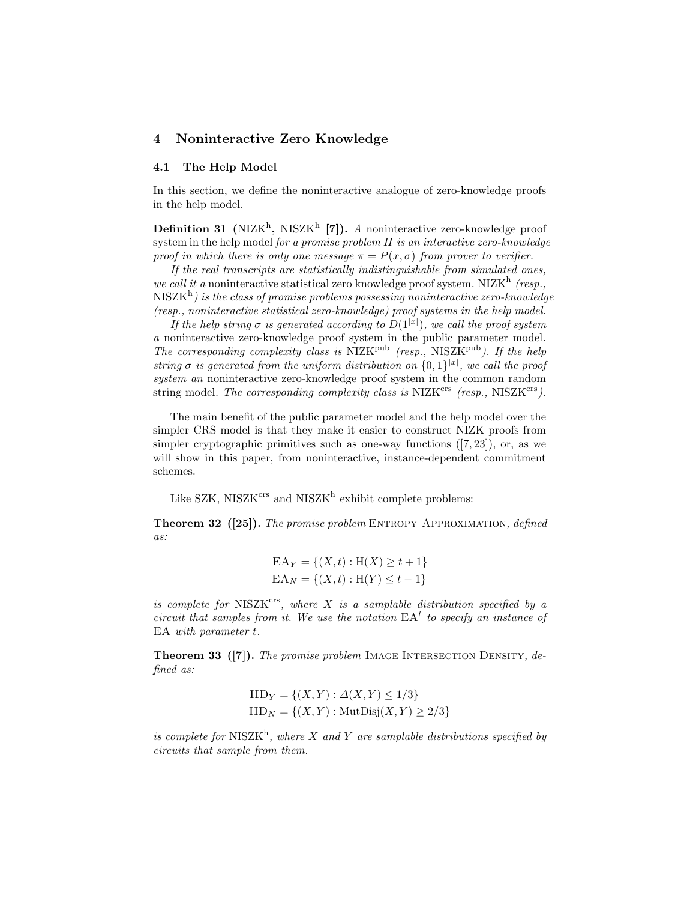# 4 Noninteractive Zero Knowledge

### 4.1 The Help Model

In this section, we define the noninteractive analogue of zero-knowledge proofs in the help model.

**Definition 31** (NIZK<sup>h</sup>, NISZK<sup>h</sup> [7]). A noninteractive zero-knowledge proof system in the help model for a promise problem  $\Pi$  is an interactive zero-knowledge proof in which there is only one message  $\pi = P(x, \sigma)$  from prover to verifier.

If the real transcripts are statistically indistinguishable from simulated ones, we call it a noninteractive statistical zero knowledge proof system. NIZK<sup>h</sup> (resp.,  ${\rm NISZK}^{\rm h}$  ) is the class of promise problems possessing noninteractive zero-knowledge (resp., noninteractive statistical zero-knowledge) proof systems in the help model.

If the help string  $\sigma$  is generated according to  $D(1^{|x|})$ , we call the proof system a noninteractive zero-knowledge proof system in the public parameter model. The corresponding complexity class is NIZK<sup>pub</sup> (resp., NISZK<sup>pub</sup>). If the help string  $\sigma$  is generated from the uniform distribution on  $\{0,1\}^{|x|}$ , we call the proof system an noninteractive zero-knowledge proof system in the common random string model. The corresponding complexity class is  $NIZK<sup>crs</sup>$  (resp.,  $NISZK<sup>crs</sup>$ ).

The main benefit of the public parameter model and the help model over the simpler CRS model is that they make it easier to construct NIZK proofs from simpler cryptographic primitives such as one-way functions  $([7, 23])$ , or, as we will show in this paper, from noninteractive, instance-dependent commitment schemes.

Like SZK, NISZK<sup>crs</sup> and NISZK<sup>h</sup> exhibit complete problems:

Theorem 32 ([25]). The promise problem Entropy Approximation, defined as:

$$
EAY = \{(X, t) : H(X) \ge t + 1\}
$$
  

$$
EAN = \{(X, t) : H(Y) \le t - 1\}
$$

is complete for NISZK<sup>Crs</sup>, where X is a samplable distribution specified by a circuit that samples from it. We use the notation  $EA<sup>t</sup>$  to specify an instance of EA with parameter t.

Theorem 33 ([7]). The promise problem IMAGE INTERSECTION DENSITY, defined as:

$$
IID_Y = \{(X, Y) : \Delta(X, Y) \le 1/3\}
$$

$$
IID_N = \{(X, Y) : \text{MultiDisj}(X, Y) \ge 2/3\}
$$

is complete for NISZK<sup>h</sup>, where X and Y are samplable distributions specified by circuits that sample from them.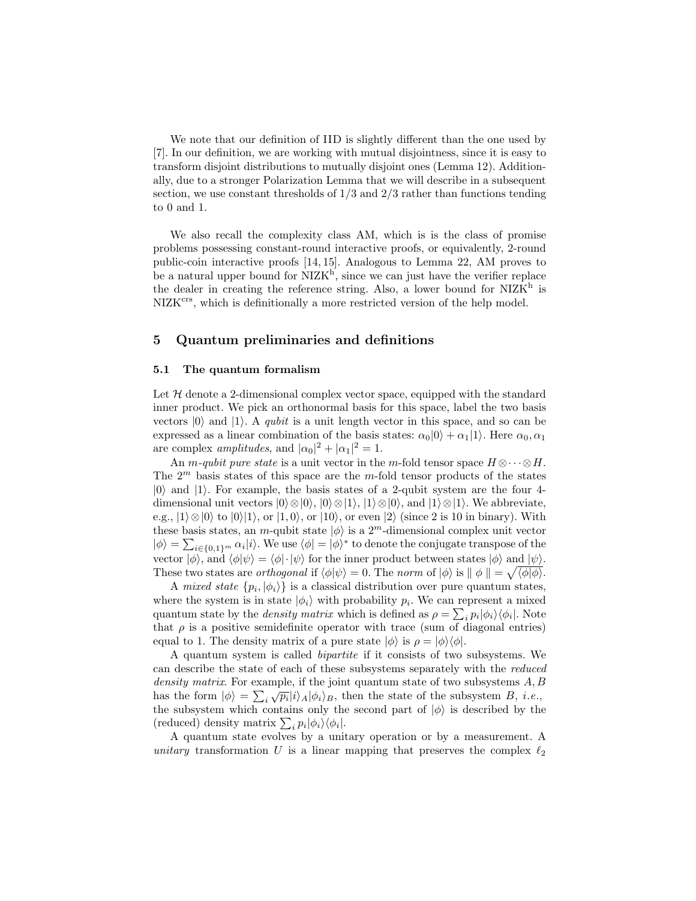We note that our definition of IID is slightly different than the one used by [7]. In our definition, we are working with mutual disjointness, since it is easy to transform disjoint distributions to mutually disjoint ones (Lemma 12). Additionally, due to a stronger Polarization Lemma that we will describe in a subsequent section, we use constant thresholds of  $1/3$  and  $2/3$  rather than functions tending to 0 and 1.

We also recall the complexity class AM, which is is the class of promise problems possessing constant-round interactive proofs, or equivalently, 2-round public-coin interactive proofs [14, 15]. Analogous to Lemma 22, AM proves to be a natural upper bound for  $\text{NIZK}^{\text{h}}$ , since we can just have the verifier replace the dealer in creating the reference string. Also, a lower bound for  $NIZK<sup>h</sup>$  is NIZK<sup>crs</sup>, which is definitionally a more restricted version of the help model.

### 5 Quantum preliminaries and definitions

### 5.1 The quantum formalism

Let  $H$  denote a 2-dimensional complex vector space, equipped with the standard inner product. We pick an orthonormal basis for this space, label the two basis vectors  $|0\rangle$  and  $|1\rangle$ . A *qubit* is a unit length vector in this space, and so can be expressed as a linear combination of the basis states:  $\alpha_0|0\rangle + \alpha_1|1\rangle$ . Here  $\alpha_0, \alpha_1$ are complex *amplitudes*, and  $|\alpha_0|^2 + |\alpha_1|^2 = 1$ .

An m-qubit pure state is a unit vector in the m-fold tensor space  $H \otimes \cdots \otimes H$ . The  $2<sup>m</sup>$  basis states of this space are the m-fold tensor products of the states  $|0\rangle$  and  $|1\rangle$ . For example, the basis states of a 2-qubit system are the four 4dimensional unit vectors  $|0\rangle \otimes |0\rangle$ ,  $|0\rangle \otimes |1\rangle$ ,  $|1\rangle \otimes |0\rangle$ , and  $|1\rangle \otimes |1\rangle$ . We abbreviate, e.g.,  $|1\rangle \otimes |0\rangle$  to  $|0\rangle |1\rangle$ , or  $|1, 0\rangle$ , or  $|10\rangle$ , or even  $|2\rangle$  (since 2 is 10 in binary). With these basis states, an m-qubit state  $|\phi\rangle$  is a 2<sup>m</sup>-dimensional complex unit vector  $|\phi\rangle = \sum_{i \in \{0,1\}^m} \alpha_i |i\rangle$ . We use  $\langle \phi | = | \phi \rangle^*$  to denote the conjugate transpose of the vector  $|\phi\rangle$ , and  $\langle \phi | \psi \rangle = \langle \phi | \cdot | \psi \rangle$  for the inner product between states  $|\phi\rangle$  and  $|\psi\rangle$ . These two states are *orthogonal* if  $\langle \phi | \psi \rangle = 0$ . The norm of  $|\phi \rangle$  is  $|| \phi || = \sqrt{\langle \phi | \phi \rangle}$ .

A *mixed state*  $\{p_i, |\phi_i\rangle\}$  is a classical distribution over pure quantum states, where the system is in state  $|\phi_i\rangle$  with probability  $p_i$ . We can represent a mixed quantum state by the *density matrix* which is defined as  $\rho = \sum_i p_i |\phi_i\rangle\langle\phi_i|$ . Note that  $\rho$  is a positive semidefinite operator with trace (sum of diagonal entries) equal to 1. The density matrix of a pure state  $|\phi\rangle$  is  $\rho = |\phi\rangle\langle\phi|$ .

A quantum system is called bipartite if it consists of two subsystems. We can describe the state of each of these subsystems separately with the reduced density matrix. For example, if the joint quantum state of two subsystems  $A, B$ has the form  $|\phi\rangle = \sum_i \sqrt{p_i} |i\rangle_A |\phi_i\rangle_B$ , then the state of the subsystem B, *i.e.*, the subsystem which contains only the second part of  $|\phi\rangle$  is described by the (reduced) density matrix  $\sum_i p_i |\phi_i\rangle \langle \phi_i|$ .

A quantum state evolves by a unitary operation or by a measurement. A unitary transformation U is a linear mapping that preserves the complex  $\ell_2$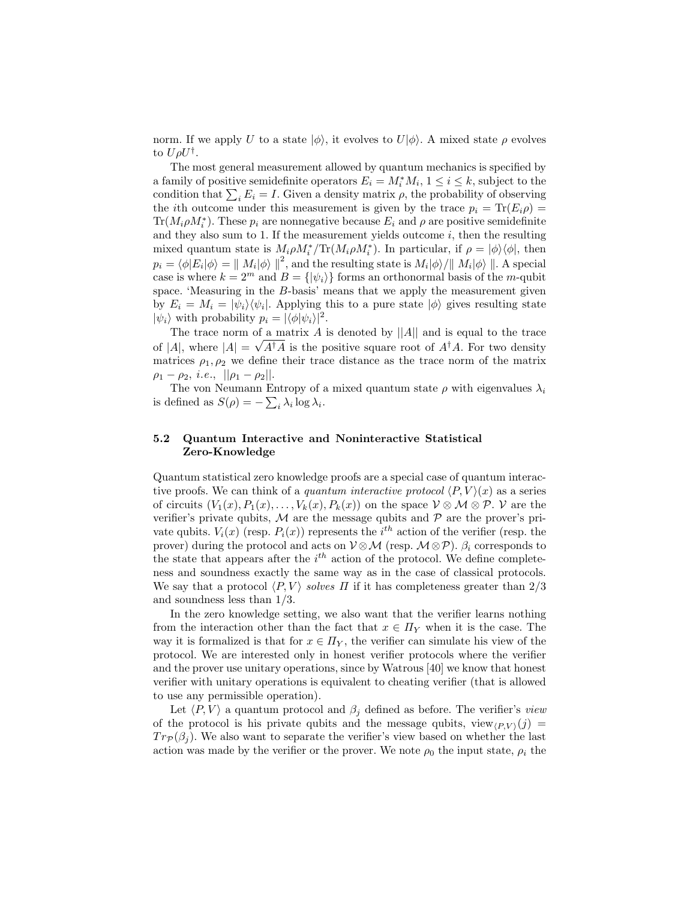norm. If we apply U to a state  $|\phi\rangle$ , it evolves to  $U|\phi\rangle$ . A mixed state  $\rho$  evolves to  $U\rho U^\dagger$ .

The most general measurement allowed by quantum mechanics is specified by a family of positive semidefinite operators  $E_i = M_i^* M_i$ ,  $1 \le i \le k$ , subject to the condition that  $\sum_i E_i = I$ . Given a density matrix  $\rho$ , the probability of observing the *i*th outcome under this measurement is given by the trace  $p_i = \text{Tr}(E_i \rho)$  $Tr(M_i \rho M_i^*)$ . These  $p_i$  are nonnegative because  $E_i$  and  $\rho$  are positive semidefinite and they also sum to 1. If the measurement yields outcome  $i$ , then the resulting mixed quantum state is  $M_i \rho M_i^* / \text{Tr}(M_i \rho M_i^*)$ . In particular, if  $\rho = |\phi\rangle \langle \phi|$ , then  $p_i = \langle \phi | E_i | \phi \rangle = || M_i | \phi \rangle ||^2$ , and the resulting state is  $M_i | \phi \rangle / || M_i | \phi \rangle ||$ . A special case is where  $k = 2^m$  and  $B = \{ |\psi_i \rangle \}$  forms an orthonormal basis of the *m*-qubit space. 'Measuring in the  $B$ -basis' means that we apply the measurement given by  $E_i = M_i = |\psi_i\rangle\langle\psi_i|$ . Applying this to a pure state  $|\phi\rangle$  gives resulting state  $|\psi_i\rangle$  with probability  $p_i = |\langle \phi | \psi_i \rangle|^2$ .

The trace norm of a matrix A is denoted by  $||A||$  and is equal to the trace of |A|, where  $|A| = \sqrt{A^{\dagger}A}$  is the positive square root of  $A^{\dagger}A$ . For two density matrices  $\rho_1, \rho_2$  we define their trace distance as the trace norm of the matrix  $\rho_1 - \rho_2$ , *i.e.*,  $||\rho_1 - \rho_2||$ .

The von Neumann Entropy of a mixed quantum state  $\rho$  with eigenvalues  $\lambda_i$ is defined as  $S(\rho) = -\sum_i \lambda_i \log \lambda_i$ .

### 5.2 Quantum Interactive and Noninteractive Statistical Zero-Knowledge

Quantum statistical zero knowledge proofs are a special case of quantum interactive proofs. We can think of a *quantum interactive protocol*  $\langle P, V \rangle (x)$  as a series of circuits  $(V_1(x), P_1(x), \ldots, V_k(x), P_k(x))$  on the space  $V \otimes M \otimes P$ . V are the verifier's private qubits,  $M$  are the message qubits and  $P$  are the prover's private qubits.  $V_i(x)$  (resp.  $P_i(x)$ ) represents the  $i<sup>th</sup>$  action of the verifier (resp. the prover) during the protocol and acts on  $V \otimes M$  (resp.  $M \otimes \mathcal{P}$ ).  $\beta_i$  corresponds to the state that appears after the  $i^{th}$  action of the protocol. We define completeness and soundness exactly the same way as in the case of classical protocols. We say that a protocol  $\langle P, V \rangle$  solves  $\Pi$  if it has completeness greater than 2/3 and soundness less than 1/3.

In the zero knowledge setting, we also want that the verifier learns nothing from the interaction other than the fact that  $x \in \Pi_Y$  when it is the case. The way it is formalized is that for  $x \in \Pi_Y$ , the verifier can simulate his view of the protocol. We are interested only in honest verifier protocols where the verifier and the prover use unitary operations, since by Watrous [40] we know that honest verifier with unitary operations is equivalent to cheating verifier (that is allowed to use any permissible operation).

Let  $\langle P, V \rangle$  a quantum protocol and  $\beta_i$  defined as before. The verifier's *view* of the protocol is his private qubits and the message qubits,  $view_{(P,V)}(j)$  =  $Tr_{\mathcal{P}}(\beta_i)$ . We also want to separate the verifier's view based on whether the last action was made by the verifier or the prover. We note  $\rho_0$  the input state,  $\rho_i$  the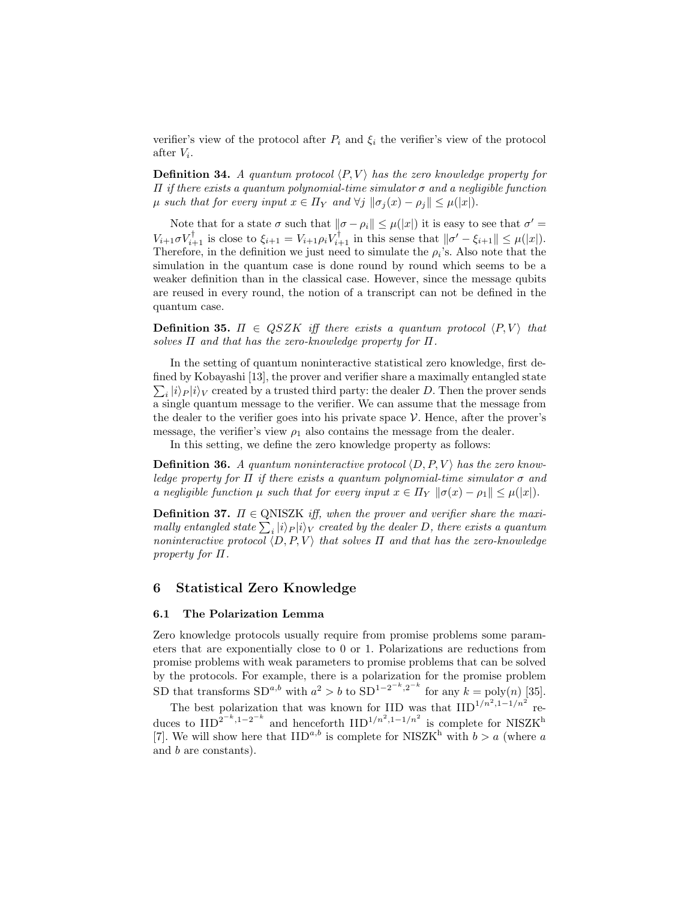verifier's view of the protocol after  $P_i$  and  $\xi_i$  the verifier's view of the protocol after  $V_i$ .

**Definition 34.** A quantum protocol  $\langle P, V \rangle$  has the zero knowledge property for  $\Pi$  if there exists a quantum polynomial-time simulator σ and a negligible function  $\mu$  such that for every input  $x \in \Pi_Y$  and  $\forall j \|\sigma_i(x) - \rho_i\| \leq \mu(|x|)$ .

Note that for a state  $\sigma$  such that  $\|\sigma - \rho_i\| \leq \mu(|x|)$  it is easy to see that  $\sigma' =$  $V_{i+1}\sigma V_{i+1}^{\dagger}$  is close to  $\xi_{i+1} = V_{i+1}\rho_i V_{i+1}^{\dagger}$  in this sense that  $\|\sigma' - \xi_{i+1}\| \leq \mu(|x|)$ . Therefore, in the definition we just need to simulate the  $\rho_i$ 's. Also note that the simulation in the quantum case is done round by round which seems to be a weaker definition than in the classical case. However, since the message qubits are reused in every round, the notion of a transcript can not be defined in the quantum case.

**Definition 35.**  $\Pi \in QSZK$  iff there exists a quantum protocol  $\langle P, V \rangle$  that solves  $\Pi$  and that has the zero-knowledge property for  $\Pi$ .

In the setting of quantum noninteractive statistical zero knowledge, first defined by Kobayashi [13], the prover and verifier share a maximally entangled state  $\sum_i |i\rangle_P |i\rangle_V$  created by a trusted third party: the dealer D. Then the prover sends a single quantum message to the verifier. We can assume that the message from the dealer to the verifier goes into his private space  $V$ . Hence, after the prover's message, the verifier's view  $\rho_1$  also contains the message from the dealer.

In this setting, we define the zero knowledge property as follows:

**Definition 36.** A quantum noninteractive protocol  $\langle D, P, V \rangle$  has the zero knowledge property for  $\Pi$  if there exists a quantum polynomial-time simulator  $\sigma$  and a negligible function  $\mu$  such that for every input  $x \in \Pi_Y || \sigma(x) - \rho_1 || \leq \mu(|x|)$ .

**Definition 37.**  $\Pi \in QNISZK$  iff, when the prover and verifier share the maximally entangled state  $\sum_i |i\rangle_P |i\rangle_V$  created by the dealer D, there exists a quantum noninteractive protocol  $\langle D, P, V \rangle$  that solves  $\Pi$  and that has the zero-knowledge property for Π.

### 6 Statistical Zero Knowledge

#### 6.1 The Polarization Lemma

Zero knowledge protocols usually require from promise problems some parameters that are exponentially close to 0 or 1. Polarizations are reductions from promise problems with weak parameters to promise problems that can be solved by the protocols. For example, there is a polarization for the promise problem SD that transforms  $SD^{a,b}$  with  $a^2 > b$  to  $SD^{1-2-k}$ ,  $2^{-k}$  for any  $k = \text{poly}(n)$  [35].

The best polarization that was known for IID was that  $\text{IID}^{1/n^2,1-1/n^2}$  reduces to  $\text{IID}^{2^{-k},1-2^{-k}}$  and henceforth  $\text{IID}^{1/n^2,1-1/n^2}$  is complete for NISZK<sup>h</sup> [7]. We will show here that  $\text{IID}^{a,b}$  is complete for NISZK<sup>h</sup> with  $b > a$  (where a and b are constants).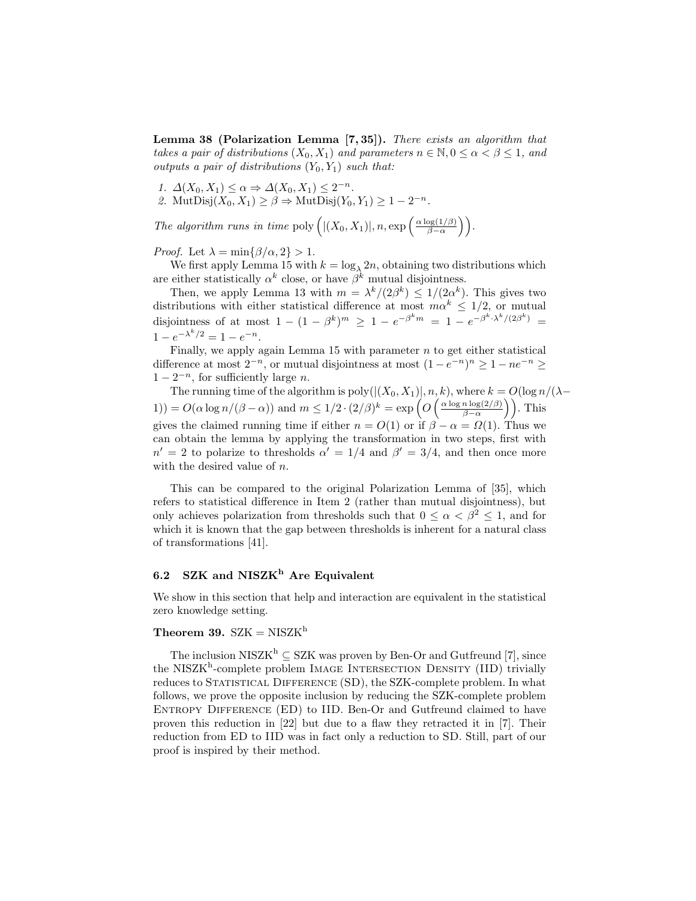**Lemma 38 (Polarization Lemma [7, 35]).** There exists an algorithm that takes a pair of distributions  $(X_0, X_1)$  and parameters  $n \in \mathbb{N}, 0 \leq \alpha < \beta \leq 1$ , and outputs a pair of distributions  $(Y_0, Y_1)$  such that:

1.  $\Delta(X_0, X_1) \leq \alpha \Rightarrow \Delta(X_0, X_1) \leq 2^{-n}$ .

2. MutDisj $(X_0, X_1) \ge \beta \Rightarrow \text{MutDisj}(Y_0, Y_1) \ge 1 - 2^{-n}$ .

The algorithm runs in time poly  $\left(|(X_0, X_1)|, n, \exp\left(\frac{\alpha \log(1/\beta)}{\beta - \alpha}\right)\right)$  $\frac{\log(1/\beta)}{\beta-\alpha}\bigg)\bigg).$ 

*Proof.* Let  $\lambda = \min\{\beta/\alpha, 2\} > 1$ .

We first apply Lemma 15 with  $k = \log_{\lambda} 2n$ , obtaining two distributions which are either statistically  $\alpha^k$  close, or have  $\beta^k$  mutual disjointness.

Then, we apply Lemma 13 with  $m = \lambda^k/(2\beta^k) \leq 1/(2\alpha^k)$ . This gives two distributions with either statistical difference at most  $m\alpha^k \leq 1/2$ , or mutual disjointness of at most  $1 - (1 - \beta^k)^m \ge 1 - e^{-\beta^k m} = 1 - e^{-\beta^k \cdot \lambda^k/(2\beta^k)}$  $1 - e^{-\lambda^k/2} = 1 - e^{-n}.$ 

Finally, we apply again Lemma  $15$  with parameter  $n$  to get either statistical difference at most  $2^{-n}$ , or mutual disjointness at most  $(1-e^{-n})^n \ge 1 - ne^{-n} \ge$  $1-2^{-n}$ , for sufficiently large *n*.

The running time of the algorithm is poly( $\left|\left(X_0, X_1\right)\right|, n, k$ ), where  $k = O(\log n/(\lambda -$ 1)) =  $O(\alpha \log n/(\beta - \alpha))$  and  $m \leq 1/2 \cdot (2/\beta)^k = \exp\left(O\left(\frac{\alpha \log n \log(2/\beta)}{\beta - \alpha}\right)\right)$  $\frac{n \log(2/\beta)}{\beta - \alpha}$ ). This gives the claimed running time if either  $n = O(1)$  or if  $\beta - \alpha = O(1)$ . Thus we can obtain the lemma by applying the transformation in two steps, first with  $n' = 2$  to polarize to thresholds  $\alpha' = 1/4$  and  $\beta' = 3/4$ , and then once more with the desired value of *n*.

This can be compared to the original Polarization Lemma of [35], which refers to statistical difference in Item 2 (rather than mutual disjointness), but only achieves polarization from thresholds such that  $0 \leq \alpha < \beta^2 \leq 1$ , and for which it is known that the gap between thresholds is inherent for a natural class of transformations [41].

# 6.2 SZK and  $NISZK<sup>h</sup>$  Are Equivalent

We show in this section that help and interaction are equivalent in the statistical zero knowledge setting.

# Theorem 39.  $SZK = NISZK<sup>h</sup>$

The inclusion NISZK<sup>h</sup>  $\subseteq$  SZK was proven by Ben-Or and Gutfreund [7], since the NISZK<sup>h</sup>-complete problem IMAGE INTERSECTION DENSITY (IID) trivially reduces to STATISTICAL DIFFERENCE (SD), the SZK-complete problem. In what follows, we prove the opposite inclusion by reducing the SZK-complete problem ENTROPY DIFFERENCE (ED) to IID. Ben-Or and Gutfreund claimed to have proven this reduction in [22] but due to a flaw they retracted it in [7]. Their reduction from ED to IID was in fact only a reduction to SD. Still, part of our proof is inspired by their method.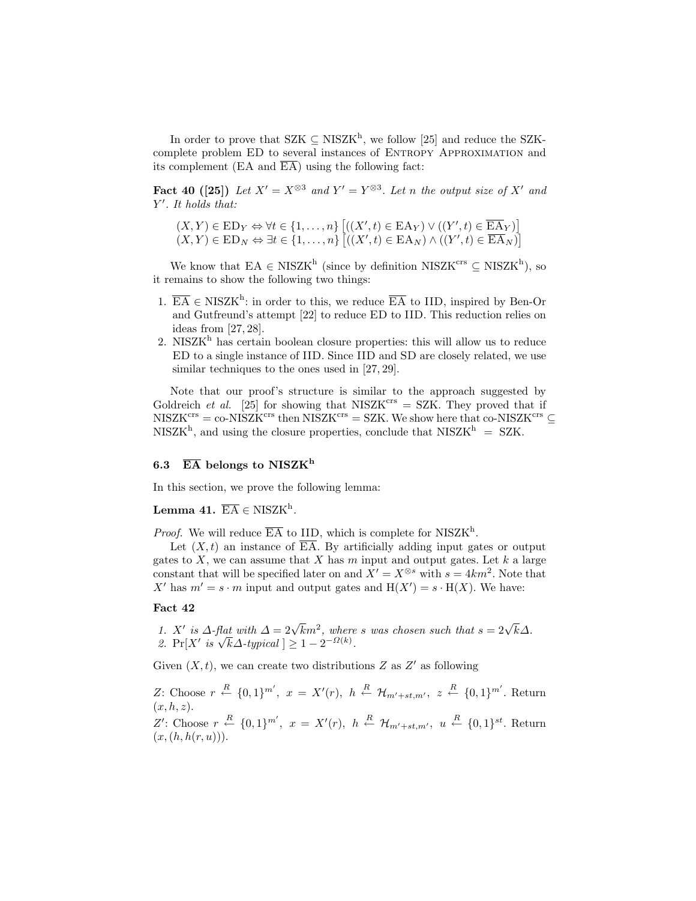In order to prove that  $SZK \subseteq NISZK^h$ , we follow [25] and reduce the SZKcomplete problem ED to several instances of ENTROPY APPROXIMATION and its complement (EA and EA) using the following fact:

**Fact 40 ([25])** Let  $X' = X^{\otimes 3}$  and  $Y' = Y^{\otimes 3}$ . Let n the output size of  $X'$  and Y'. It holds that:

 $(X,Y) \in \mathbf{ED}_Y \Leftrightarrow \forall t \in \{1,\ldots,n\} \left[ ((X',t) \in \mathbf{EA}_Y) \vee ((Y',t) \in \overline{\mathbf{EA}}_Y) \right]$  $(X,Y) \in \mathrm{ED}_N \Leftrightarrow \exists t \in \{1,\ldots,n\} \left[ ((X',t) \in \mathrm{EA}_N) \wedge ((Y',t) \in \overline{\mathrm{EA}}_N) \right]$ 

We know that  $EA \in NISZK^h$  (since by definition  $NISZK^{crs} \subseteq NISZK^h$ ), so it remains to show the following two things:

- 1.  $\overline{EA} \in NISZK^h$ : in order to this, we reduce  $\overline{EA}$  to IID, inspired by Ben-Or and Gutfreund's attempt [22] to reduce ED to IID. This reduction relies on ideas from [27, 28].
- 2. NISZ $K<sup>h</sup>$  has certain boolean closure properties: this will allow us to reduce ED to a single instance of IID. Since IID and SD are closely related, we use similar techniques to the ones used in [27, 29].

Note that our proof's structure is similar to the approach suggested by Goldreich et al. [25] for showing that NISZK<sup>crs</sup> = SZK. They proved that if  $NISZK<sup>crs</sup> = co-NISZK<sup>crs</sup>$  then  $NISZK<sup>crs</sup> = SZK$ . We show here that  $co-NISZK<sup>crs</sup> \subseteq$  $NISZK<sup>h</sup>$ , and using the closure properties, conclude that  $NISZK<sup>h</sup> = SZK$ .

# 6.3  $\overline{EA}$  belongs to NISZK<sup>h</sup>

In this section, we prove the following lemma:

# Lemma 41.  $\overline{\text{EA}} \in \text{NISZK}^{\text{h}}$ .

*Proof.* We will reduce  $\overline{EA}$  to IID, which is complete for NISZK<sup>h</sup>.

Let  $(X, t)$  an instance of  $\overline{EA}$ . By artificially adding input gates or output gates to  $X$ , we can assume that  $X$  has  $m$  input and output gates. Let  $k$  a large constant that will be specified later on and  $X' = X^{\otimes s}$  with  $s = 4km^2$ . Note that X' has  $m' = s \cdot m$  input and output gates and  $H(X') = s \cdot H(X)$ . We have:

### Fact 42

1. X' is  $\Delta$ -flat with  $\Delta = 2\sqrt{k}m^2$ , where s was chosen such that  $s = 2\sqrt{k}\Delta$ . 1. X is  $\Delta$ -flat with  $\Delta = 2\sqrt{\kappa m^2}$ , where<br>2.  $Pr[X' \text{ is } \sqrt{k} \Delta$ -typical  $] \geq 1 - 2^{-\Omega(k)}$ .

Given  $(X, t)$ , we can create two distributions Z as Z' as following

Z: Choose  $r \stackrel{R}{\leftarrow} \{0,1\}^{m'}$ ,  $x = X'(r)$ ,  $h \stackrel{R}{\leftarrow} \mathcal{H}_{m'+st,m'}$ ,  $z \stackrel{R}{\leftarrow} \{0,1\}^{m'}$ . Return  $(x, h, z)$ . Z': Choose  $r \stackrel{R}{\leftarrow} \{0,1\}^{m'}$ ,  $x = X'(r)$ ,  $h \stackrel{R}{\leftarrow} \mathcal{H}_{m'+st,m'}$ ,  $u \stackrel{R}{\leftarrow} \{0,1\}^{st}$ . Return  $(x,(h, h(r, u))).$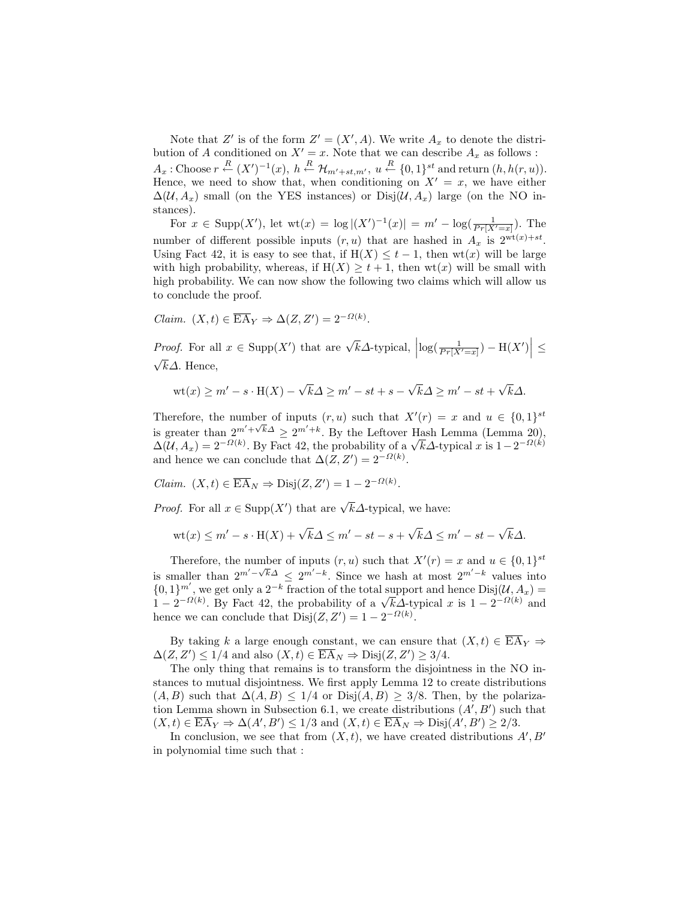Note that Z' is of the form  $Z' = (X', A)$ . We write  $A_x$  to denote the distribution of A conditioned on  $X' = x$ . Note that we can describe  $A_x$  as follows :  $A_x: \text{Choose } r \stackrel{R}{\leftarrow} (X')^{-1}(x), h \stackrel{R}{\leftarrow} \mathcal{H}_{m'+st,m'}, u \stackrel{R}{\leftarrow} \{0,1\}^{st} \text{ and return } (h,h(r,u)).$ Hence, we need to show that, when conditioning on  $X' = x$ , we have either

 $\Delta(\mathcal{U}, A_x)$  small (on the YES instances) or Disj $(\mathcal{U}, A_x)$  large (on the NO instances).

For  $x \in \text{Supp}(X')$ , let  $\text{wt}(x) = \log |(X')^{-1}(x)| = m' - \log(\frac{1}{Pr[X'=x]})$ . The number of different possible inputs  $(r, u)$  that are hashed in  $A_x$  is  $2^{\text{wt}(x)+st}$ . Using Fact 42, it is easy to see that, if  $H(X) \leq t-1$ , then wt(x) will be large with high probability, whereas, if  $H(X) \geq t+1$ , then wt(x) will be small with high probability. We can now show the following two claims which will allow us to conclude the proof.

$$
Claim. (X, t) \in \overline{\mathbf{EA}}_Y \Rightarrow \Delta(Z, Z') = 2^{-\Omega(k)}
$$

Proof. For all  $x \in \text{Supp}(X')$  that are  $\sqrt{k}\Delta$ -typical,  $\left|\log(\frac{1}{Pr[X'=x]}) - H(X')\right| \leq$  $\sqrt{k}\Delta$ . Hence,

.

$$
\text{wt}(x) \ge m' - s \cdot \text{H}(X) - \sqrt{k} \Delta \ge m' - st + s - \sqrt{k} \Delta \ge m' - st + \sqrt{k} \Delta.
$$

Therefore, the number of inputs  $(r, u)$  such that  $X'(r) = x$  and  $u \in \{0, 1\}^{st}$ is greater than  $2^{m'+\sqrt{k}\Delta} \geq 2^{m'+k}$ . By the Leftover Hash Lemma (Lemma 20), is greater than  $2^{m+n} \geq 2^{m+n}$ . By the Lettover Hash Lemma (Lemma 20),<br> $\Delta(\mathcal{U}, A_x) = 2^{-\Omega(k)}$ . By Fact 42, the probability of a  $\sqrt{k}\Delta$ -typical x is  $1 - 2^{-\Omega(k)}$ and hence we can conclude that  $\Delta(Z, Z') = 2^{-\Omega(k)}$ .

*Claim.*  $(X, t) \in \overline{\mathbb{E}A}_N \Rightarrow \text{Disj}(Z, Z') = 1 - 2^{-\Omega(k)}$ .

*Proof.* For all  $x \in \text{Supp}(X')$  that are  $\sqrt{k}\Delta$ -typical, we have:

$$
\text{wt}(x) \leq m' - s \cdot \text{H}(X) + \sqrt{k}\Delta \leq m' - st - s + \sqrt{k}\Delta \leq m' - st - \sqrt{k}\Delta.
$$

Therefore, the number of inputs  $(r, u)$  such that  $X'(r) = x$  and  $u \in \{0, 1\}^{st}$ is smaller than  $2^{m'-\sqrt{k}\Delta} \leq 2^{m'-k}$ . Since we hash at most  $2^{m'-k}$  values into  $\{0,1\}^{m'}$ , we get only a  $2^{-k}$  fraction of the total support and hence  $\text{Disj}(\mathcal{U}, A_x) =$  ${10, 1}^{\infty}$ , we get only a 2  $^{\infty}$  fraction of the total support and nence  $\text{Disj}(U, A_x) = 1 - 2^{-\Omega(k)}$ . By Fact 42, the probability of a  $\sqrt{k}\Delta$ -typical x is  $1 - 2^{-\Omega(k)}$  and hence we can conclude that  $Disj(Z, Z') = 1 - 2^{-\Omega(k)}$ .

By taking k a large enough constant, we can ensure that  $(X, t) \in \overline{\mathbb{E} A_Y} \Rightarrow$  $\Delta(Z, Z') \leq 1/4$  and also  $(X, t) \in \overline{\text{EA}}_N \Rightarrow \text{Disj}(Z, Z') \geq 3/4$ .

The only thing that remains is to transform the disjointness in the NO instances to mutual disjointness. We first apply Lemma 12 to create distributions  $(A, B)$  such that  $\Delta(A, B) \leq 1/4$  or  $Disj(A, B) \geq 3/8$ . Then, by the polarization Lemma shown in Subsection 6.1, we create distributions  $(A', B')$  such that  $(X,t) \in \overline{\mathbb{E} A_Y} \Rightarrow \Delta(A',B') \leq 1/3$  and  $(X,t) \in \overline{\mathbb{E} A_N} \Rightarrow \text{Disj}(A',B') \geq 2/3$ .

In conclusion, we see that from  $(X, t)$ , we have created distributions  $A, B'$ in polynomial time such that :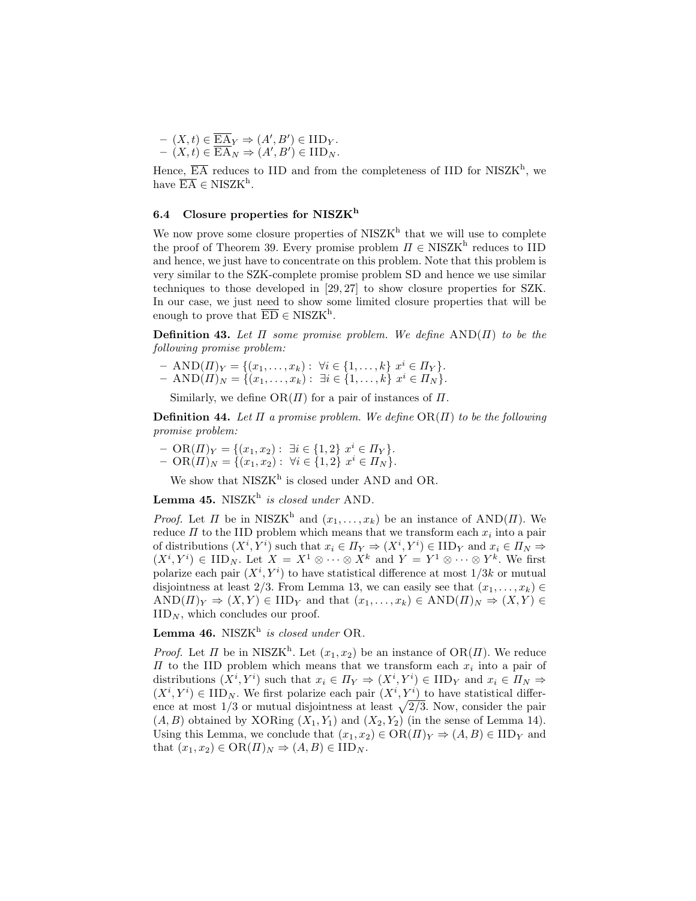$- (X,t) \in \overline{\mathbb{E}A}_Y \Rightarrow (A',B') \in \text{IID}_Y.$  $- (X, t) \in \overline{\text{EA}}_N \Rightarrow (A', B') \in \text{IID}_N.$ 

Hence,  $\overline{EA}$  reduces to IID and from the completeness of IID for NISZK<sup>h</sup>, we have  $\overline{EA} \in NISZK^h$ .

# 6.4 Closure properties for  $NISZK<sup>h</sup>$

We now prove some closure properties of  $NISZK<sup>h</sup>$  that we will use to complete the proof of Theorem 39. Every promise problem  $\Pi \in \text{NISZK}^{\text{h}}$  reduces to IID and hence, we just have to concentrate on this problem. Note that this problem is very similar to the SZK-complete promise problem SD and hence we use similar techniques to those developed in [29, 27] to show closure properties for SZK. In our case, we just need to show some limited closure properties that will be enough to prove that  $\overline{ED} \in NISZK^h$ .

**Definition 43.** Let  $\Pi$  some promise problem. We define  $AND(\Pi)$  to be the following promise problem:

 $- \text{ AND}(H)_Y = \{ (x_1, \ldots, x_k) : \forall i \in \{1, \ldots, k\} \ x^i \in H_Y \}.$  $- \text{ AND}(H)_N = \{ (x_1, \ldots, x_k) : \exists i \in \{1, \ldots, k\} \ x^i \in H_N \}.$ 

Similarly, we define  $OR(\Pi)$  for a pair of instances of  $\Pi$ .

**Definition 44.** Let  $\Pi$  a promise problem. We define  $OR(\Pi)$  to be the following promise problem:

- $-$  OR( $\Pi$ )<sub>Y</sub> = {( $x_1, x_2$ ) :  $\exists i \in \{1, 2\} \ x^i \in \Pi_Y$  }.
- $-$  OR $(H)_N = \{ (x_1, x_2) : \forall i \in \{1, 2\} \ x^i \in H_N \}.$

We show that  $\rm NISZK^h$  is closed under AND and OR.

**Lemma 45.** NISZK<sup>h</sup> is closed under AND.

*Proof.* Let  $\Pi$  be in NISZK<sup>h</sup> and  $(x_1, \ldots, x_k)$  be an instance of AND( $\Pi$ ). We reduce  $\Pi$  to the IID problem which means that we transform each  $x_i$  into a pair of distributions  $(X^i, Y^i)$  such that  $x_i \in \Pi_Y \Rightarrow (X^i, Y^i) \in \text{IID}_Y$  and  $x_i \in \Pi_N \Rightarrow$  $(X^i, Y^i) \in \text{IID}_N$ . Let  $X = X^1 \otimes \cdots \otimes X^k$  and  $Y = Y^1 \otimes \cdots \otimes Y^k$ . We first polarize each pair  $(X^i, Y^i)$  to have statistical difference at most  $1/3k$  or mutual disjointness at least 2/3. From Lemma 13, we can easily see that  $(x_1, \ldots, x_k) \in$  $AND(\Pi)_Y \Rightarrow (X, Y) \in IID_Y$  and that  $(x_1, \ldots, x_k) \in AND(\Pi)_N \Rightarrow (X, Y) \in$  $IID<sub>N</sub>$ , which concludes our proof.

**Lemma 46.** NISZK<sup>h</sup> is closed under OR.

*Proof.* Let  $\Pi$  be in NISZK<sup>h</sup>. Let  $(x_1, x_2)$  be an instance of OR( $\Pi$ ). We reduce  $\Pi$  to the IID problem which means that we transform each  $x_i$  into a pair of distributions  $(X^i, Y^i)$  such that  $x_i \in \Pi_Y \Rightarrow (X^i, Y^i) \in \text{IID}_Y$  and  $x_i \in \Pi_N \Rightarrow$  $(X^i, Y^i) \in \text{IID}_N$ . We first polarize each pair  $(X^i, Y^i)$  to have statistical difference at most  $1/3$  or mutual disjointness at least  $\sqrt{2/3}$ . Now, consider the pair  $(A, B)$  obtained by XORing  $(X_1, Y_1)$  and  $(X_2, Y_2)$  (in the sense of Lemma 14). Using this Lemma, we conclude that  $(x_1, x_2) \in OR(\Pi)_Y \Rightarrow (A, B) \in IID_Y$  and that  $(x_1, x_2) \in OR(\Pi)_N \Rightarrow (A, B) \in IID_N$ .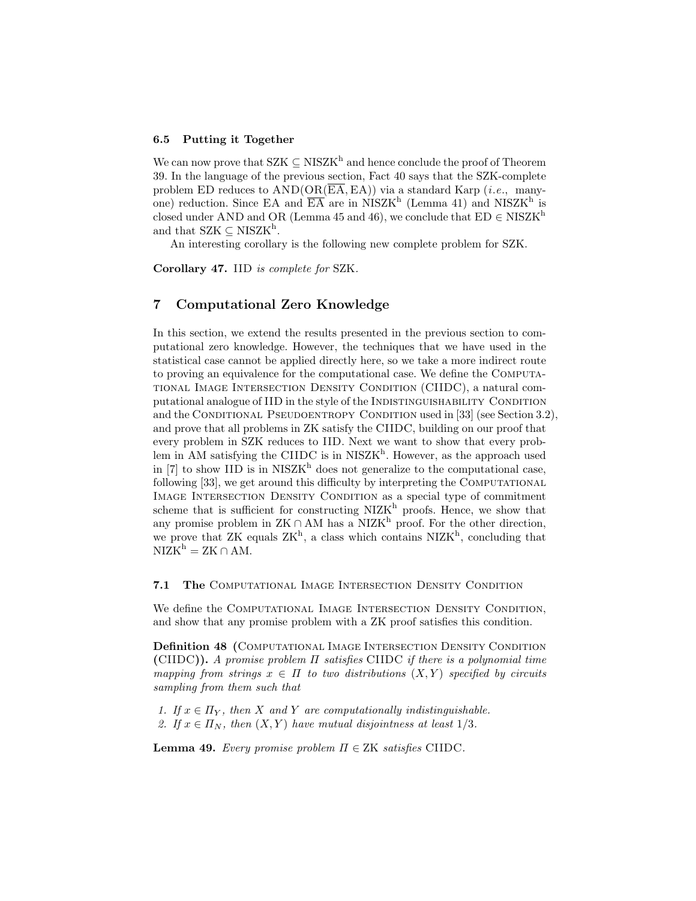### 6.5 Putting it Together

We can now prove that  $SZK \subseteq NISZK^h$  and hence conclude the proof of Theorem 39. In the language of the previous section, Fact 40 says that the SZK-complete problem ED reduces to  $AND(OR(EA, EA))$  via a standard Karp (*i.e.*, manyone) reduction. Since EA and  $\overline{EA}$  are in NISZK<sup>h</sup> (Lemma 41) and NISZK<sup>h</sup> is closed under AND and OR (Lemma 45 and 46), we conclude that  $ED \in NISZK<sup>h</sup>$ and that  $SZK \subseteq NISZK^h$ .

An interesting corollary is the following new complete problem for SZK.

Corollary 47. IID is complete for SZK.

## 7 Computational Zero Knowledge

In this section, we extend the results presented in the previous section to computational zero knowledge. However, the techniques that we have used in the statistical case cannot be applied directly here, so we take a more indirect route to proving an equivalence for the computational case. We define the Computational Image Intersection Density Condition (CIIDC), a natural computational analogue of IID in the style of the INDISTINGUISHABILITY CONDITION and the CONDITIONAL PSEUDOENTROPY CONDITION used in [33] (see Section 3.2), and prove that all problems in ZK satisfy the CIIDC, building on our proof that every problem in SZK reduces to IID. Next we want to show that every problem in AM satisfying the CHDC is in  $NISZK<sup>h</sup>$ . However, as the approach used in [7] to show  $\text{IID}$  is in NISZK<sup>h</sup> does not generalize to the computational case, following [33], we get around this difficulty by interpreting the COMPUTATIONAL IMAGE INTERSECTION DENSITY CONDITION as a special type of commitment scheme that is sufficient for constructing  $NIZK<sup>h</sup>$  proofs. Hence, we show that any promise problem in  $ZK \cap AM$  has a NIZK<sup>h</sup> proof. For the other direction, we prove that  $ZK$  equals  $ZK<sup>h</sup>$ , a class which contains  $NIZK<sup>h</sup>$ , concluding that  $NIZK^h = ZK \cap AM$ .

#### 7.1 The Computational Image Intersection Density Condition

We define the COMPUTATIONAL IMAGE INTERSECTION DENSITY CONDITION, and show that any promise problem with a ZK proof satisfies this condition.

Definition 48 (COMPUTATIONAL IMAGE INTERSECTION DENSITY CONDITION (CIIDC)). A promise problem  $\Pi$  satisfies CIIDC if there is a polynomial time mapping from strings  $x \in \Pi$  to two distributions  $(X, Y)$  specified by circuits sampling from them such that

1. If  $x \in \Pi_Y$ , then X and Y are computationally indistinguishable. 2. If  $x \in \Pi_N$ , then  $(X, Y)$  have mutual disjointness at least  $1/3$ .

**Lemma 49.** Every promise problem  $\Pi \in \mathbb{Z}$ K satisfies CIIDC.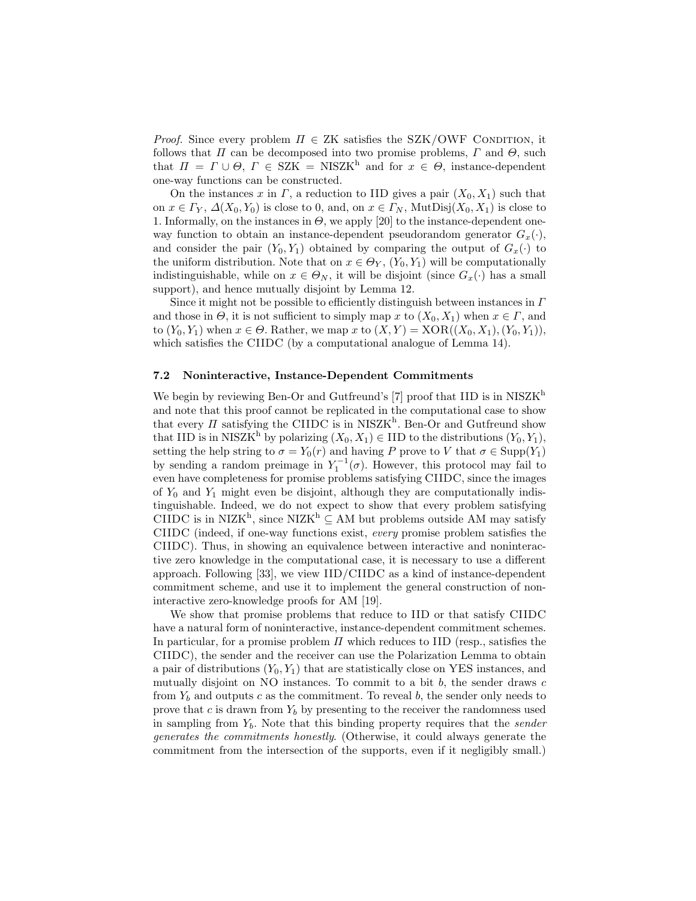*Proof.* Since every problem  $\Pi \in \mathbb{Z}K$  satisfies the SZK/OWF CONDITION, it follows that  $\Pi$  can be decomposed into two promise problems,  $\Gamma$  and  $\Theta$ , such that  $\Pi = \Gamma \cup \Theta$ ,  $\Gamma \in \mathcal{SZK} = \mathcal{NISZK}^h$  and for  $x \in \Theta$ , instance-dependent one-way functions can be constructed.

On the instances x in  $\Gamma$ , a reduction to IID gives a pair  $(X_0, X_1)$  such that on  $x \in \Gamma_Y$ ,  $\Delta(X_0, Y_0)$  is close to 0, and, on  $x \in \Gamma_N$ , MutDisj $(X_0, X_1)$  is close to 1. Informally, on the instances in  $\Theta$ , we apply [20] to the instance-dependent oneway function to obtain an instance-dependent pseudorandom generator  $G_x(\cdot)$ , and consider the pair  $(Y_0, Y_1)$  obtained by comparing the output of  $G_x(\cdot)$  to the uniform distribution. Note that on  $x \in \Theta_Y$ ,  $(Y_0, Y_1)$  will be computationally indistinguishable, while on  $x \in \Theta_N$ , it will be disjoint (since  $G_x(\cdot)$  has a small support), and hence mutually disjoint by Lemma 12.

Since it might not be possible to efficiently distinguish between instances in  $\Gamma$ and those in  $\Theta$ , it is not sufficient to simply map x to  $(X_0, X_1)$  when  $x \in \Gamma$ , and to  $(Y_0, Y_1)$  when  $x \in \Theta$ . Rather, we map x to  $(X, Y) = XOR((X_0, X_1), (Y_0, Y_1)),$ which satisfies the CIIDC (by a computational analogue of Lemma 14).

### 7.2 Noninteractive, Instance-Dependent Commitments

We begin by reviewing Ben-Or and Gutfreund's [7] proof that IID is in  $NISZK<sup>h</sup>$ and note that this proof cannot be replicated in the computational case to show that every  $\Pi$  satisfying the CIIDC is in NISZK<sup>h</sup>. Ben-Or and Gutfreund show that IID is in NISZK<sup>h</sup> by polarizing  $(X_0, X_1) \in \text{IID}$  to the distributions  $(Y_0, Y_1)$ , setting the help string to  $\sigma = Y_0(r)$  and having P prove to V that  $\sigma \in \text{Supp}(Y_1)$ by sending a random preimage in  $Y_1^{-1}(\sigma)$ . However, this protocol may fail to even have completeness for promise problems satisfying CIIDC, since the images of  $Y_0$  and  $Y_1$  might even be disjoint, although they are computationally indistinguishable. Indeed, we do not expect to show that every problem satisfying CIIDC is in NIZK<sup>h</sup>, since NIZK<sup>h</sup>  $\subseteq$  AM but problems outside AM may satisfy CIIDC (indeed, if one-way functions exist, every promise problem satisfies the CIIDC). Thus, in showing an equivalence between interactive and noninteractive zero knowledge in the computational case, it is necessary to use a different approach. Following [33], we view IID/CIIDC as a kind of instance-dependent commitment scheme, and use it to implement the general construction of noninteractive zero-knowledge proofs for AM [19].

We show that promise problems that reduce to IID or that satisfy CIIDC have a natural form of noninteractive, instance-dependent commitment schemes. In particular, for a promise problem  $\Pi$  which reduces to IID (resp., satisfies the CIIDC), the sender and the receiver can use the Polarization Lemma to obtain a pair of distributions  $(Y_0, Y_1)$  that are statistically close on YES instances, and mutually disjoint on NO instances. To commit to a bit  $b$ , the sender draws  $c$ from  $Y_b$  and outputs c as the commitment. To reveal b, the sender only needs to prove that c is drawn from  $Y_b$  by presenting to the receiver the randomness used in sampling from  $Y_b$ . Note that this binding property requires that the *sender* generates the commitments honestly. (Otherwise, it could always generate the commitment from the intersection of the supports, even if it negligibly small.)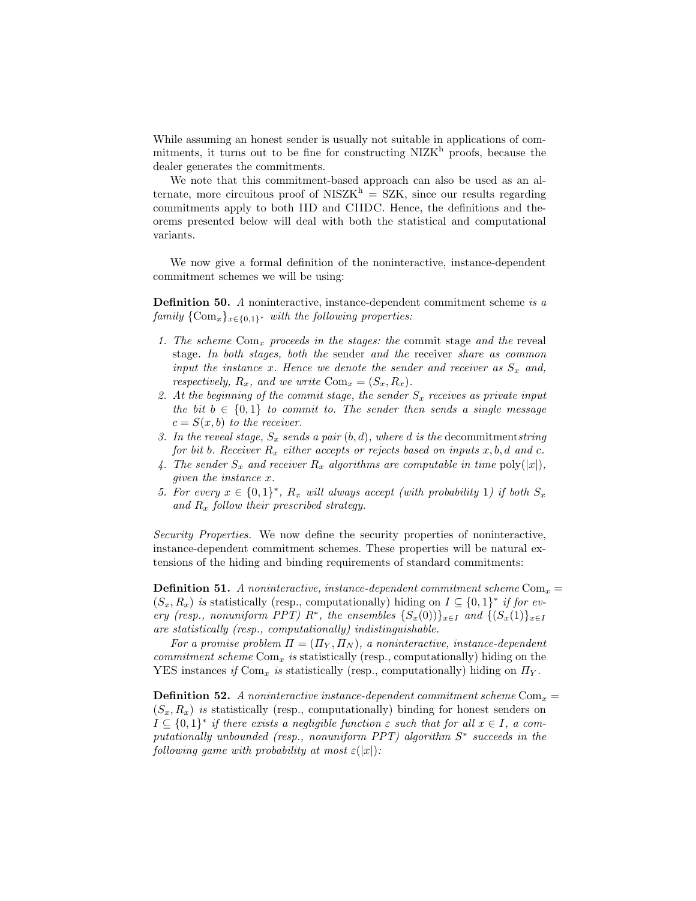While assuming an honest sender is usually not suitable in applications of commitments, it turns out to be fine for constructing NIZK<sup>h</sup> proofs, because the dealer generates the commitments.

We note that this commitment-based approach can also be used as an alternate, more circuitous proof of NISZK<sup>h</sup> = SZK, since our results regarding commitments apply to both IID and CIIDC. Hence, the definitions and theorems presented below will deal with both the statistical and computational variants.

We now give a formal definition of the noninteractive, instance-dependent commitment schemes we will be using:

Definition 50. A noninteractive, instance-dependent commitment scheme is a  $family \{\mathrm{Com}_x\}_{x\in\{0,1\}^*}$  with the following properties:

- 1. The scheme  $Com_x$  proceeds in the stages: the commit stage and the reveal stage. In both stages, both the sender and the receiver share as common input the instance x. Hence we denote the sender and receiver as  $S_x$  and, respectively,  $R_x$ , and we write  $Com_x = (S_x, R_x)$ .
- 2. At the beginning of the commit stage, the sender  $S_x$  receives as private input the bit  $b \in \{0,1\}$  to commit to. The sender then sends a single message  $c = S(x, b)$  to the receiver.
- 3. In the reveal stage,  $S_x$  sends a pair  $(b, d)$ , where d is the decommitmentstring for bit b. Receiver  $R_x$  either accepts or rejects based on inputs  $x, b, d$  and  $c$ .
- 4. The sender  $S_x$  and receiver  $R_x$  algorithms are computable in time  $\text{poly}(|x|)$ , given the instance x.
- 5. For every  $x \in \{0,1\}^*$ ,  $R_x$  will always accept (with probability 1) if both  $S_x$ and  $R_x$  follow their prescribed strategy.

Security Properties. We now define the security properties of noninteractive, instance-dependent commitment schemes. These properties will be natural extensions of the hiding and binding requirements of standard commitments:

**Definition 51.** A noninteractive, instance-dependent commitment scheme Com<sub>x</sub> =  $(S_x, R_x)$  is statistically (resp., computationally) hiding on  $I \subseteq \{0,1\}^*$  if for every (resp., nonuniform PPT)  $R^*$ , the ensembles  $\{S_x(0)\}_{x\in I}$  and  $\{(S_x(1)\}_{x\in I}$ are statistically (resp., computationally) indistinguishable.

For a promise problem  $\Pi = (\Pi_Y, \Pi_N)$ , a noninteractive, instance-dependent *commitment scheme*  $Com<sub>x</sub>$  *is* statistically (resp., computationally) hiding on the YES instances if  $Com_x$  is statistically (resp., computationally) hiding on  $\Pi_Y$ .

**Definition 52.** A noninteractive instance-dependent commitment scheme  $Com<sub>x</sub>$  $(S_x, R_x)$  is statistically (resp., computationally) binding for honest senders on  $I \subseteq \{0,1\}^*$  if there exists a negligible function  $\varepsilon$  such that for all  $x \in I$ , a computationally unbounded (resp., nonuniform PPT) algorithm  $S^*$  succeeds in the following game with probability at most  $\varepsilon(|x|)$ :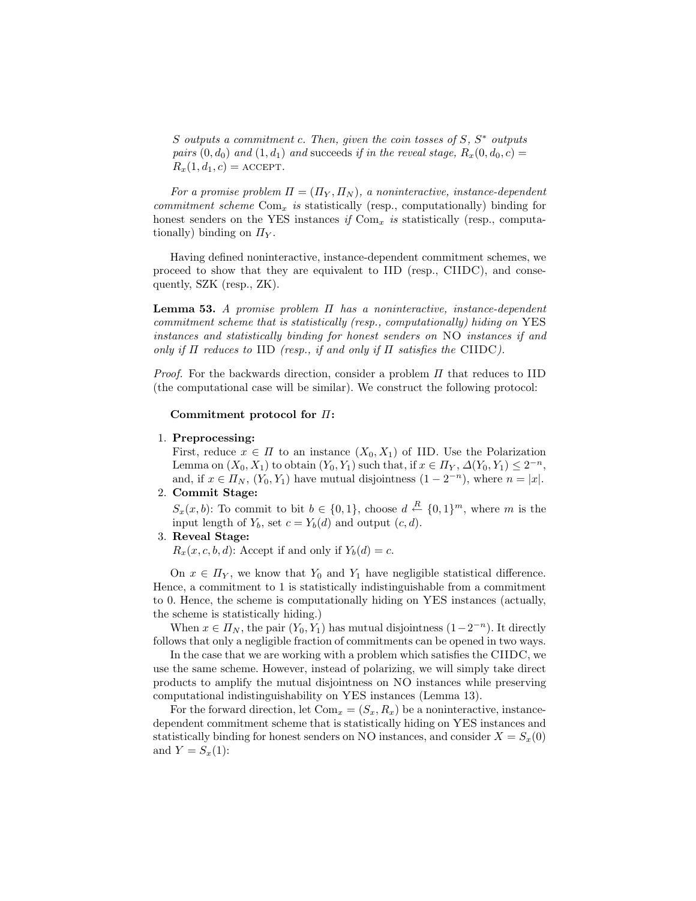S outputs a commitment c. Then, given the coin tosses of  $S$ ,  $S^*$  outputs pairs  $(0, d_0)$  and  $(1, d_1)$  and succeeds if in the reveal stage,  $R_x(0, d_0, c)$  =  $R_x(1, d_1, c) = \text{ACCEPT}.$ 

For a promise problem  $\Pi = (\Pi_Y, \Pi_N)$ , a noninteractive, instance-dependent *commitment scheme*  $Com_x$  *is* statistically (resp., computationally) binding for honest senders on the YES instances if  $Com<sub>x</sub>$  is statistically (resp., computationally) binding on  $\Pi_Y$ .

Having defined noninteractive, instance-dependent commitment schemes, we proceed to show that they are equivalent to IID (resp., CIIDC), and consequently, SZK (resp., ZK).

**Lemma 53.** A promise problem  $\Pi$  has a noninteractive, instance-dependent commitment scheme that is statistically (resp., computationally) hiding on YES instances and statistically binding for honest senders on NO instances if and only if  $\Pi$  reduces to IID (resp., if and only if  $\Pi$  satisfies the CIIDC).

*Proof.* For the backwards direction, consider a problem  $\Pi$  that reduces to IID (the computational case will be similar). We construct the following protocol:

#### Commitment protocol for Π:

#### 1. Preprocessing:

First, reduce  $x \in \Pi$  to an instance  $(X_0, X_1)$  of IID. Use the Polarization Lemma on  $(X_0, X_1)$  to obtain  $(Y_0, Y_1)$  such that, if  $x \in \Pi_Y$ ,  $\Delta(Y_0, Y_1) \leq 2^{-n}$ , and, if  $x \in \Pi_N$ ,  $(Y_0, Y_1)$  have mutual disjointness  $(1 - 2^{-n})$ , where  $n = |x|$ .

2. Commit Stage:

 $S_x(x, b)$ : To commit to bit  $b \in \{0, 1\}$ , choose  $d \stackrel{R}{\leftarrow} \{0, 1\}^m$ , where m is the input length of  $Y_b$ , set  $c = Y_b(d)$  and output  $(c, d)$ .

3. Reveal Stage:

 $R_x(x, c, b, d)$ : Accept if and only if  $Y_b(d) = c$ .

On  $x \in \Pi_Y$ , we know that  $Y_0$  and  $Y_1$  have negligible statistical difference. Hence, a commitment to 1 is statistically indistinguishable from a commitment to 0. Hence, the scheme is computationally hiding on YES instances (actually, the scheme is statistically hiding.)

When  $x \in \Pi_N$ , the pair  $(Y_0, Y_1)$  has mutual disjointness  $(1 - 2^{-n})$ . It directly follows that only a negligible fraction of commitments can be opened in two ways.

In the case that we are working with a problem which satisfies the CIIDC, we use the same scheme. However, instead of polarizing, we will simply take direct products to amplify the mutual disjointness on NO instances while preserving computational indistinguishability on YES instances (Lemma 13).

For the forward direction, let  $Com_x = (S_x, R_x)$  be a noninteractive, instancedependent commitment scheme that is statistically hiding on YES instances and statistically binding for honest senders on NO instances, and consider  $X = S_x(0)$ and  $Y = S_x(1)$ :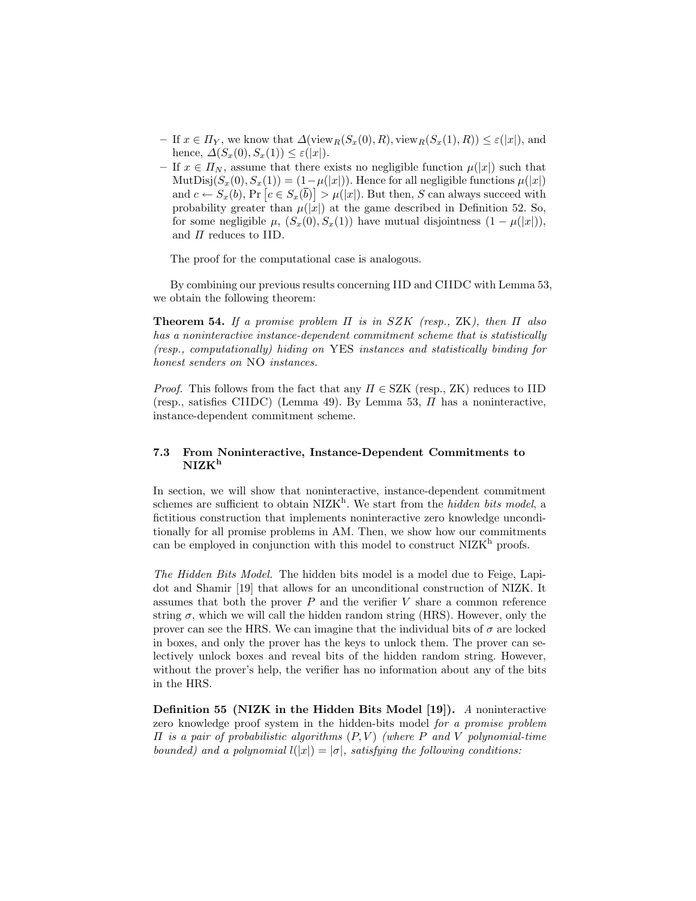- If  $x \in \Pi_Y$ , we know that  $\Delta(\text{view}_R(S_x(0), R), \text{view}_R(S_x(1), R)) \leq \varepsilon(|x|)$ , and hence,  $\Delta(S_x(0), S_x(1)) \leq \varepsilon(|x|)$ .
- If  $x \in \Pi_N$ , assume that there exists no negligible function  $\mu(|x|)$  such that MutDisj $(S_x(0), S_x(1)) = (1 - \mu(|x|))$ . Hence for all negligible functions  $\mu(|x|)$ and  $c \leftarrow S_x(b)$ , Pr  $[c \in S_x(\overline{b})] > \mu(|x|)$ . But then, S can always succeed with probability greater than  $\mu(|\mathbf{x}|)$  at the game described in Definition 52. So, for some negligible  $\mu$ ,  $(S_x(0), S_x(1))$  have mutual disjointness  $(1 - \mu(|x|)),$ and  $\Pi$  reduces to IID.

The proof for the computational case is analogous.

By combining our previous results concerning IID and CIIDC with Lemma 53, we obtain the following theorem:

**Theorem 54.** If a promise problem  $\Pi$  is in  $SZK$  (resp.,  $ZK$ ), then  $\Pi$  also has a noninteractive instance-dependent commitment scheme that is statistically (resp., computationally) hiding on YES instances and statistically binding for honest senders on NO instances.

*Proof.* This follows from the fact that any  $\Pi \in \text{SZK}$  (resp., ZK) reduces to IID (resp., satisfies CIIDC) (Lemma 49). By Lemma 53,  $\Pi$  has a noninteractive, instance-dependent commitment scheme.

### 7.3 From Noninteractive, Instance-Dependent Commitments to  $NIZK<sup>h</sup>$

In section, we will show that noninteractive, instance-dependent commitment schemes are sufficient to obtain NIZK<sup>h</sup>. We start from the *hidden bits model*, a fictitious construction that implements noninteractive zero knowledge unconditionally for all promise problems in AM. Then, we show how our commitments can be employed in conjunction with this model to construct  $NIZK<sup>h</sup>$  proofs.

The Hidden Bits Model. The hidden bits model is a model due to Feige, Lapidot and Shamir [19] that allows for an unconditional construction of NIZK. It assumes that both the prover  $P$  and the verifier  $V$  share a common reference string  $\sigma$ , which we will call the hidden random string (HRS). However, only the prover can see the HRS. We can imagine that the individual bits of  $\sigma$  are locked in boxes, and only the prover has the keys to unlock them. The prover can selectively unlock boxes and reveal bits of the hidden random string. However, without the prover's help, the verifier has no information about any of the bits in the HRS.

Definition 55 (NIZK in the Hidden Bits Model [19]). A noninteractive zero knowledge proof system in the hidden-bits model for a promise problem  $\Pi$  is a pair of probabilistic algorithms  $(P, V)$  (where P and V polynomial-time bounded) and a polynomial  $l(|x|) = |\sigma|$ , satisfying the following conditions: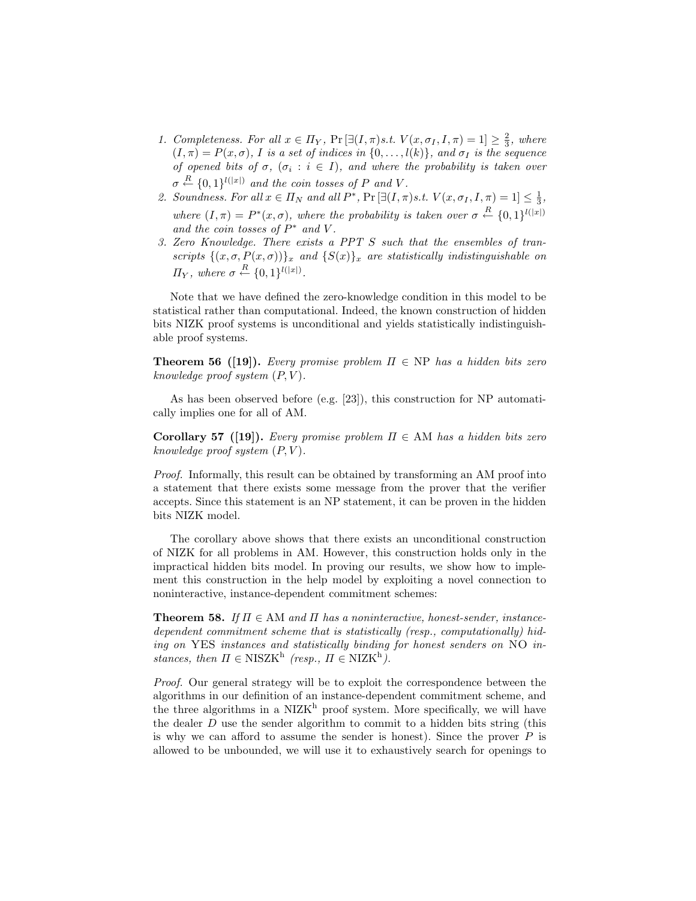- 1. Completeness. For all  $x \in \Pi_Y$ ,  $\Pr[\exists(I,\pi) s.t. V(x,\sigma_I,I,\pi) = 1] \geq \frac{2}{3}$ , where  $(I, \pi) = P(x, \sigma)$ , I is a set of indices in  $\{0, \ldots, l(k)\}\$ , and  $\sigma_I$  is the sequence of opened bits of  $\sigma$ ,  $(\sigma_i : i \in I)$ , and where the probability is taken over  $\sigma \stackrel{R}{\leftarrow} \{0,1\}^{l(|x|)}$  and the coin tosses of P and V.
- 2. Soundness. For all  $x \in \Pi_N$  and all  $P^*$ ,  $\Pr[\exists(I, \pi) s.t. V(x, \sigma_I, I, \pi) = 1] \leq \frac{1}{3}$ , where  $(I, \pi) = P^*(x, \sigma)$ , where the probability is taken over  $\sigma \stackrel{R}{\leftarrow} \{0, 1\}^{l(|x|)}$ and the coin tosses of  $P^*$  and V.
- 3. Zero Knowledge. There exists a PPT S such that the ensembles of transcripts  $\{(x, \sigma, P(x, \sigma))\}_x$  and  $\{S(x)\}_x$  are statistically indistinguishable on  $\Pi_Y$ , where  $\sigma \stackrel{R}{\leftarrow} \{0,1\}^{l(|x|)}.$

Note that we have defined the zero-knowledge condition in this model to be statistical rather than computational. Indeed, the known construction of hidden bits NIZK proof systems is unconditional and yields statistically indistinguishable proof systems.

**Theorem 56 ([19]).** Every promise problem  $\Pi \in NP$  has a hidden bits zero knowledge proof system  $(P, V)$ .

As has been observed before (e.g. [23]), this construction for NP automatically implies one for all of AM.

Corollary 57 ([19]). Every promise problem  $\Pi \in AM$  has a hidden bits zero knowledge proof system  $(P, V)$ .

Proof. Informally, this result can be obtained by transforming an AM proof into a statement that there exists some message from the prover that the verifier accepts. Since this statement is an NP statement, it can be proven in the hidden bits NIZK model.

The corollary above shows that there exists an unconditional construction of NIZK for all problems in AM. However, this construction holds only in the impractical hidden bits model. In proving our results, we show how to implement this construction in the help model by exploiting a novel connection to noninteractive, instance-dependent commitment schemes:

**Theorem 58.** If  $\Pi \in AM$  and  $\Pi$  has a noninteractive, honest-sender, instancedependent commitment scheme that is statistically (resp., computationally) hiding on YES instances and statistically binding for honest senders on NO instances, then  $\Pi \in \text{NISZK}^h$  (resp.,  $\Pi \in \text{NIZK}^h$ ).

Proof. Our general strategy will be to exploit the correspondence between the algorithms in our definition of an instance-dependent commitment scheme, and the three algorithms in a  $NIZK<sup>h</sup>$  proof system. More specifically, we will have the dealer  $D$  use the sender algorithm to commit to a hidden bits string (this is why we can afford to assume the sender is honest). Since the prover  $P$  is allowed to be unbounded, we will use it to exhaustively search for openings to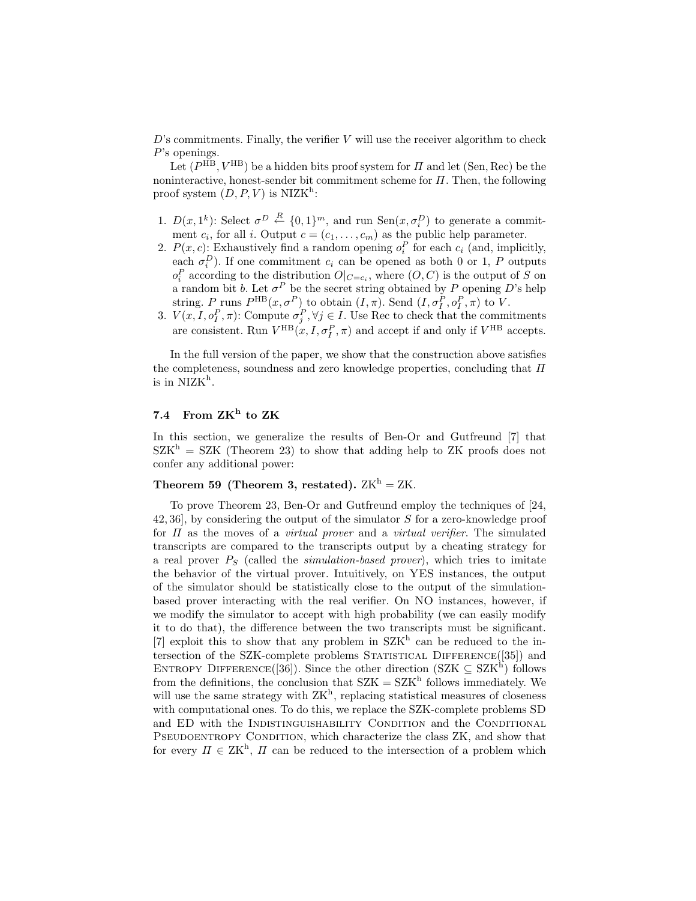$D$ 's commitments. Finally, the verifier  $V$  will use the receiver algorithm to check P's openings.

Let  $(P^{HB}, V^{HB})$  be a hidden bits proof system for  $\Pi$  and let (Sen, Rec) be the noninteractive, honest-sender bit commitment scheme for  $\Pi$ . Then, the following proof system  $(D, P, V)$  is NIZK<sup>h</sup>:

- 1.  $D(x, 1^k)$ : Select  $\sigma^D \stackrel{R}{\leftarrow} \{0, 1\}^m$ , and run  $\text{Sen}(x, \sigma_i^D)$  to generate a commitment  $c_i$ , for all *i*. Output  $c = (c_1, \ldots, c_m)$  as the public help parameter.
- 2.  $P(x, c)$ : Exhaustively find a random opening  $o_i^P$  for each  $c_i$  (and, implicitly, each  $\sigma_i^D$ ). If one commitment  $c_i$  can be opened as both 0 or 1, P outputs  $o_i^P$  according to the distribution  $O|_{C=c_i}$ , where  $(O, C)$  is the output of S on a random bit b. Let  $\sigma^P$  be the secret string obtained by P opening D's help string.  $P_{\text{runs}} P^{\text{HB}}(x, \sigma^P)$  to obtain  $(I, \pi)$ . Send  $(I, \sigma_I^P, \sigma_I^P, \pi)$  to V.
- 3.  $V(x, I, o_I^P, \pi)$ : Compute  $\sigma_j^P, \forall j \in I$ . Use Rec to check that the commitments are consistent. Run  $V^{\text{HB}}(x, I, \sigma_I^P, \pi)$  and accept if and only if  $V^{\text{HB}}$  accepts.

In the full version of the paper, we show that the construction above satisfies the completeness, soundness and zero knowledge properties, concluding that  $\Pi$ is in  $\rm NIZK^h.$ 

# $7.4$  From  $\rm ZK^h$  to  $\rm ZK$

In this section, we generalize the results of Ben-Or and Gutfreund [7] that  $SZK<sup>h</sup> = SZK$  (Theorem 23) to show that adding help to ZK proofs does not confer any additional power:

# Theorem 59 (Theorem 3, restated).  $ZK^h = ZK$ .

To prove Theorem 23, Ben-Or and Gutfreund employ the techniques of [24, 42, 36], by considering the output of the simulator S for a zero-knowledge proof for  $\Pi$  as the moves of a *virtual prover* and a *virtual verifier*. The simulated transcripts are compared to the transcripts output by a cheating strategy for a real prover  $P_S$  (called the *simulation-based prover*), which tries to imitate the behavior of the virtual prover. Intuitively, on YES instances, the output of the simulator should be statistically close to the output of the simulationbased prover interacting with the real verifier. On NO instances, however, if we modify the simulator to accept with high probability (we can easily modify it to do that), the difference between the two transcripts must be significant.  $[7]$  exploit this to show that any problem in  $SZK^h$  can be reduced to the intersection of the SZK-complete problems STATISTICAL DIFFERENCE([35]) and ENTROPY DIFFERENCE([36]). Since the other direction (SZK  $\subseteq$  SZK<sup>h</sup>) follows from the definitions, the conclusion that  $SZK = SZK<sup>h</sup>$  follows immediately. We will use the same strategy with  $ZK^h$ , replacing statistical measures of closeness with computational ones. To do this, we replace the SZK-complete problems SD and ED with the INDISTINGUISHABILITY CONDITION and the CONDITIONAL PSEUDOENTROPY CONDITION, which characterize the class ZK, and show that for every  $\Pi \in \mathrm{ZK}^h$ ,  $\Pi$  can be reduced to the intersection of a problem which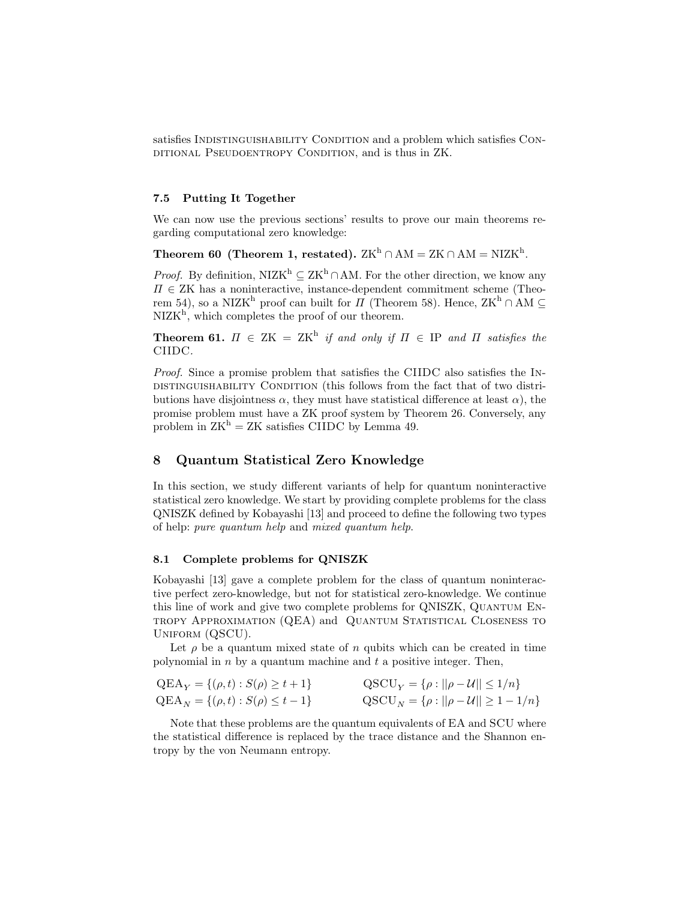satisfies INDISTINGUISHABILITY CONDITION and a problem which satisfies CON-DITIONAL PSEUDOENTROPY CONDITION, and is thus in ZK.

### 7.5 Putting It Together

We can now use the previous sections' results to prove our main theorems regarding computational zero knowledge:

Theorem 60 (Theorem 1, restated).  $\mathrm{ZK}^\mathrm{h} \cap \mathrm{AM} = \mathrm{ZK} \cap \mathrm{AM} = \mathrm{NIZK}^\mathrm{h}.$ 

*Proof.* By definition, NIZK<sup>h</sup>  $\subseteq$  ZK<sup>h</sup> ∩AM. For the other direction, we know any  $\Pi \in \mathbb{Z}$ K has a noninteractive, instance-dependent commitment scheme (Theorem 54), so a NIZK<sup>h</sup> proof can built for  $\Pi$  (Theorem 58). Hence,  $\operatorname{ZK}^h \cap \operatorname{AM} \subseteq$  $NIZK<sup>h</sup>$ , which completes the proof of our theorem.

**Theorem 61.**  $\Pi \in \mathbb{Z}K$  =  $\mathbb{Z}K^h$  if and only if  $\Pi \in \mathbb{IP}$  and  $\Pi$  satisfies the CIIDC.

Proof. Since a promise problem that satisfies the CIIDC also satisfies the Indistinguishability Condition (this follows from the fact that of two distributions have disjointness  $\alpha$ , they must have statistical difference at least  $\alpha$ ), the promise problem must have a ZK proof system by Theorem 26. Conversely, any problem in  $ZK^h = ZK$  satisfies CIIDC by Lemma 49.

### 8 Quantum Statistical Zero Knowledge

In this section, we study different variants of help for quantum noninteractive statistical zero knowledge. We start by providing complete problems for the class QNISZK defined by Kobayashi [13] and proceed to define the following two types of help: pure quantum help and mixed quantum help.

#### 8.1 Complete problems for QNISZK

Kobayashi [13] gave a complete problem for the class of quantum noninteractive perfect zero-knowledge, but not for statistical zero-knowledge. We continue this line of work and give two complete problems for QNISZK, QUANTUM ENtropy Approximation (QEA) and Quantum Statistical Closeness to Uniform (QSCU).

Let  $\rho$  be a quantum mixed state of n qubits which can be created in time polynomial in  $n$  by a quantum machine and  $t$  a positive integer. Then,

| $QEA_Y = \{(\rho, t) : S(\rho) \ge t + 1\}$ | $\mathrm{QSCU}_Y = \{ \rho :   \rho - \mathcal{U}   \leq 1/n \}$ |
|---------------------------------------------|------------------------------------------------------------------|
| $QEA_N = \{(\rho, t) : S(\rho) \le t - 1\}$ | $QSCU_N = \{ \rho :   \rho - \mathcal{U}   \ge 1 - 1/n \}$       |

Note that these problems are the quantum equivalents of EA and SCU where the statistical difference is replaced by the trace distance and the Shannon entropy by the von Neumann entropy.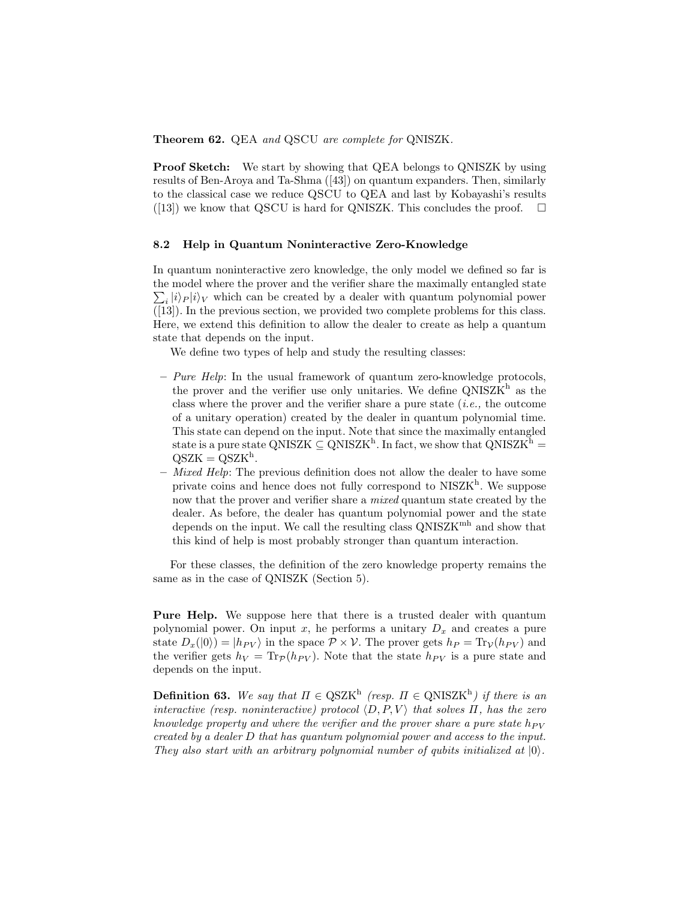Theorem 62. QEA and QSCU are complete for QNISZK.

Proof Sketch: We start by showing that QEA belongs to QNISZK by using results of Ben-Aroya and Ta-Shma ([43]) on quantum expanders. Then, similarly to the classical case we reduce QSCU to QEA and last by Kobayashi's results  $([13])$  we know that QSCU is hard for QNISZK. This concludes the proof.  $\square$ 

### 8.2 Help in Quantum Noninteractive Zero-Knowledge

In quantum noninteractive zero knowledge, the only model we defined so far is the model where the prover and the verifier share the maximally entangled state  $\sum_i |i\rangle_P |i\rangle_V$  which can be created by a dealer with quantum polynomial power ([13]). In the previous section, we provided two complete problems for this class. Here, we extend this definition to allow the dealer to create as help a quantum state that depends on the input.

We define two types of help and study the resulting classes:

- $-$  *Pure Help*: In the usual framework of quantum zero-knowledge protocols, the prover and the verifier use only unitaries. We define  $\mathbf{QNISZK}^{\mathrm{h}}$  as the class where the prover and the verifier share a pure state  $(i.e.,$  the outcome of a unitary operation) created by the dealer in quantum polynomial time. This state can depend on the input. Note that since the maximally entangled state is a pure state QNISZK  $\subseteq$  QNISZK<sup>h</sup>. In fact, we show that  $\mathrm{QNISZK}^\mathrm{h} =$  $\mathrm{QSZK} = \mathrm{QSZK}^{\mathrm{h}}$ .
- $-$  *Mixed Help*: The previous definition does not allow the dealer to have some private coins and hence does not fully correspond to  $NISZK<sup>h</sup>$ . We suppose now that the prover and verifier share a mixed quantum state created by the dealer. As before, the dealer has quantum polynomial power and the state depends on the input. We call the resulting class  $\mathbb{Q}NISZK^{mh}$  and show that this kind of help is most probably stronger than quantum interaction.

For these classes, the definition of the zero knowledge property remains the same as in the case of QNISZK (Section 5).

Pure Help. We suppose here that there is a trusted dealer with quantum polynomial power. On input x, he performs a unitary  $D_x$  and creates a pure state  $D_x(|0\rangle) = |h_{PV}\rangle$  in the space  $\mathcal{P} \times \mathcal{V}$ . The prover gets  $h_P = \text{Tr}_{\mathcal{V}}(h_{PV})$  and the verifier gets  $h_V = Tr_{\mathcal{P}}(h_{PV})$ . Note that the state  $h_{PV}$  is a pure state and depends on the input.

**Definition 63.** We say that  $\Pi \in \text{QSZK}^{\text{h}}$  (resp.  $\Pi \in \text{QNISZK}^{\text{h}}$ ) if there is an interactive (resp. noninteractive) protocol  $\langle D, P, V \rangle$  that solves  $\Pi$ , has the zero knowledge property and where the verifier and the prover share a pure state  $h_{PV}$ created by a dealer D that has quantum polynomial power and access to the input. They also start with an arbitrary polynomial number of qubits initialized at  $|0\rangle$ .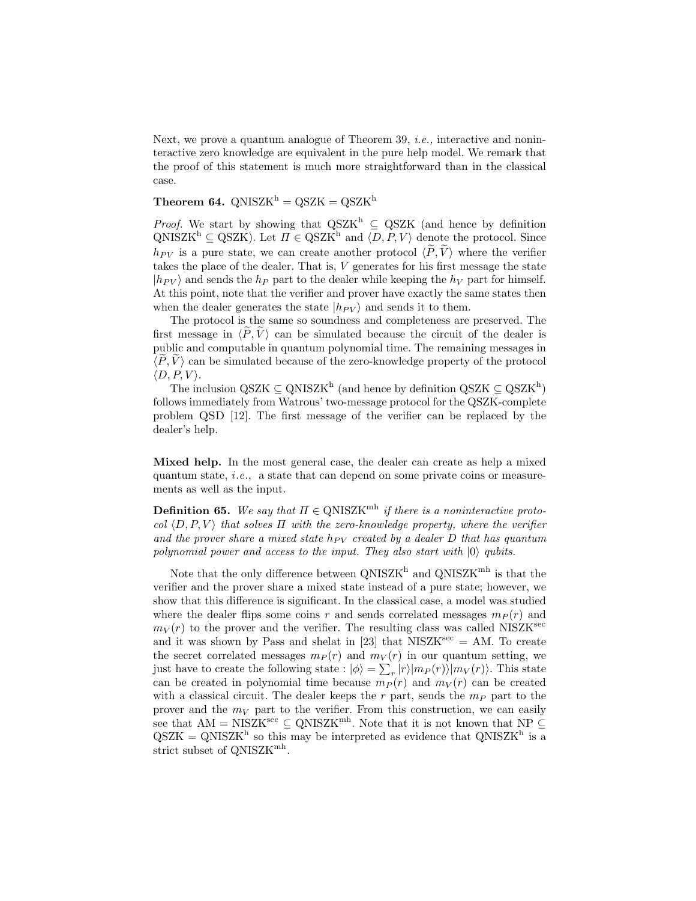Next, we prove a quantum analogue of Theorem 39, *i.e.*, interactive and noninteractive zero knowledge are equivalent in the pure help model. We remark that the proof of this statement is much more straightforward than in the classical case.

**Theorem 64.** QNISZK<sup>h</sup> = QSZK = QSZK<sup>h</sup>

*Proof.* We start by showing that  $QSZK^h \subseteq QSZK$  (and hence by definition  $\mathrm{QNISZK}^{\mathrm{h}} \subseteq \mathrm{QSZK}$ ). Let  $\Pi \in \mathrm{QSZK}^{\mathrm{h}}$  and  $\langle D, P, V \rangle$  denote the protocol. Since  $h_{PV}$  is a pure state, we can create another protocol  $\langle \tilde{P}, \tilde{V} \rangle$  where the verifier takes the place of the dealer. That is, V generates for his first message the state  $|h_{PV}\rangle$  and sends the  $h_P$  part to the dealer while keeping the  $h_V$  part for himself. At this point, note that the verifier and prover have exactly the same states then when the dealer generates the state  $|h_{PV}\rangle$  and sends it to them.

The protocol is the same so soundness and completeness are preserved. The first message in  $\langle P, V \rangle$  can be simulated because the circuit of the dealer is public and computable in quantum polynomial time. The remaining messages in  $\langle P, V \rangle$  can be simulated because of the zero-knowledge property of the protocol  $\langle D, P, V \rangle$ .

The inclusion  $\mathrm{QSZK} \subseteq \mathrm{QNISZK}^h$  (and hence by definition  $\mathrm{QSZK} \subseteq \mathrm{QSZK}^h$ ) follows immediately from Watrous' two-message protocol for the QSZK-complete problem QSD [12]. The first message of the verifier can be replaced by the dealer's help.

Mixed help. In the most general case, the dealer can create as help a mixed quantum state, i.e., a state that can depend on some private coins or measurements as well as the input.

**Definition 65.** We say that  $\Pi \in \text{QNISZK}^{\text{mh}}$  if there is a noninteractive protocol  $\langle D, P, V \rangle$  that solves  $\Pi$  with the zero-knowledge property, where the verifier and the prover share a mixed state  $h_{PV}$  created by a dealer D that has quantum polynomial power and access to the input. They also start with  $|0\rangle$  qubits.

Note that the only difference between  $\mathbf{QNISZK}^{\text{h}}$  and  $\mathbf{QNISZK}^{\text{mh}}$  is that the verifier and the prover share a mixed state instead of a pure state; however, we show that this difference is significant. In the classical case, a model was studied where the dealer flips some coins r and sends correlated messages  $m_P(r)$  and  $m_V(r)$  to the prover and the verifier. The resulting class was called NISZK<sup>sec</sup> and it was shown by Pass and shelat in [23] that  $NISZK<sup>sec</sup> = AM$ . To create the secret correlated messages  $m_P(r)$  and  $m_V(r)$  in our quantum setting, we just have to create the following state :  $|\phi\rangle = \sum_{r} |r\rangle |m_P(r)\rangle |m_V(r)\rangle$ . This state can be created in polynomial time because  $m_P(r)$  and  $m_V(r)$  can be created with a classical circuit. The dealer keeps the r part, sends the  $m_P$  part to the prover and the  $m_V$  part to the verifier. From this construction, we can easily see that  $AM = NISZK^{sec} \subseteq QNISZK^{mh}$ . Note that it is not known that NP  $\subseteq$  $\mathrm{QSZK} = \mathrm{QNISZK}^{\mathrm{h}}$  so this may be interpreted as evidence that  $\mathrm{QNISZK}^{\mathrm{h}}$  is a strict subset of  $\text{QNISZK}^{\text{mh}}$ .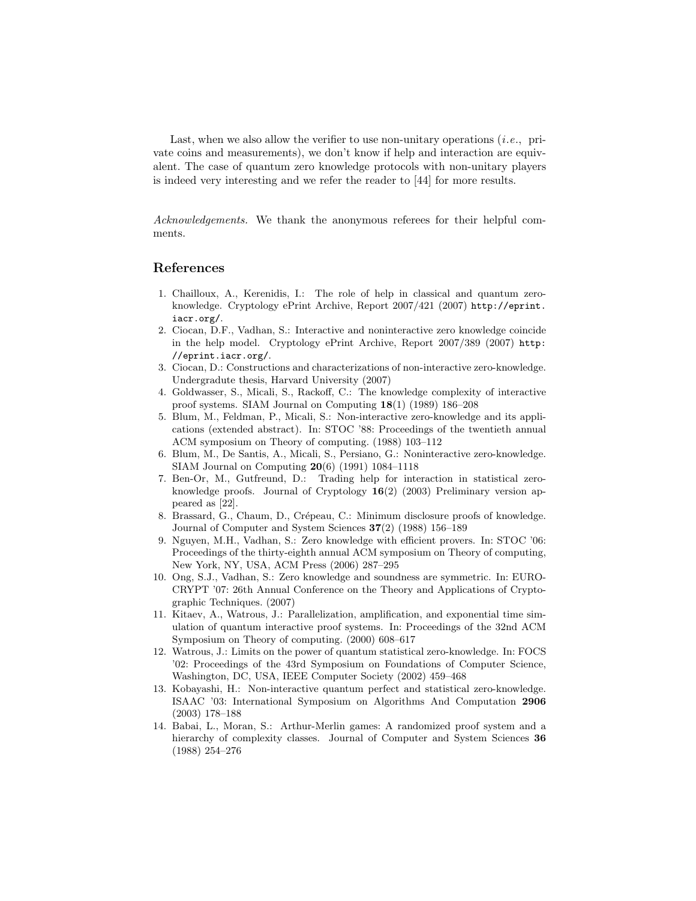Last, when we also allow the verifier to use non-unitary operations  $(i.e.,$  private coins and measurements), we don't know if help and interaction are equivalent. The case of quantum zero knowledge protocols with non-unitary players is indeed very interesting and we refer the reader to [44] for more results.

Acknowledgements. We thank the anonymous referees for their helpful comments.

### References

- 1. Chailloux, A., Kerenidis, I.: The role of help in classical and quantum zeroknowledge. Cryptology ePrint Archive, Report 2007/421 (2007) http://eprint. iacr.org/.
- 2. Ciocan, D.F., Vadhan, S.: Interactive and noninteractive zero knowledge coincide in the help model. Cryptology ePrint Archive, Report 2007/389 (2007) http: //eprint.iacr.org/.
- 3. Ciocan, D.: Constructions and characterizations of non-interactive zero-knowledge. Undergradute thesis, Harvard University (2007)
- 4. Goldwasser, S., Micali, S., Rackoff, C.: The knowledge complexity of interactive proof systems. SIAM Journal on Computing 18(1) (1989) 186–208
- 5. Blum, M., Feldman, P., Micali, S.: Non-interactive zero-knowledge and its applications (extended abstract). In: STOC '88: Proceedings of the twentieth annual ACM symposium on Theory of computing. (1988) 103–112
- 6. Blum, M., De Santis, A., Micali, S., Persiano, G.: Noninteractive zero-knowledge. SIAM Journal on Computing 20(6) (1991) 1084–1118
- 7. Ben-Or, M., Gutfreund, D.: Trading help for interaction in statistical zeroknowledge proofs. Journal of Cryptology  $16(2)$  (2003) Preliminary version appeared as [22].
- 8. Brassard, G., Chaum, D., Crépeau, C.: Minimum disclosure proofs of knowledge. Journal of Computer and System Sciences 37(2) (1988) 156–189
- 9. Nguyen, M.H., Vadhan, S.: Zero knowledge with efficient provers. In: STOC '06: Proceedings of the thirty-eighth annual ACM symposium on Theory of computing, New York, NY, USA, ACM Press (2006) 287–295
- 10. Ong, S.J., Vadhan, S.: Zero knowledge and soundness are symmetric. In: EURO-CRYPT '07: 26th Annual Conference on the Theory and Applications of Cryptographic Techniques. (2007)
- 11. Kitaev, A., Watrous, J.: Parallelization, amplification, and exponential time simulation of quantum interactive proof systems. In: Proceedings of the 32nd ACM Symposium on Theory of computing. (2000) 608–617
- 12. Watrous, J.: Limits on the power of quantum statistical zero-knowledge. In: FOCS '02: Proceedings of the 43rd Symposium on Foundations of Computer Science, Washington, DC, USA, IEEE Computer Society (2002) 459–468
- 13. Kobayashi, H.: Non-interactive quantum perfect and statistical zero-knowledge. ISAAC '03: International Symposium on Algorithms And Computation 2906 (2003) 178–188
- 14. Babai, L., Moran, S.: Arthur-Merlin games: A randomized proof system and a hierarchy of complexity classes. Journal of Computer and System Sciences 36 (1988) 254–276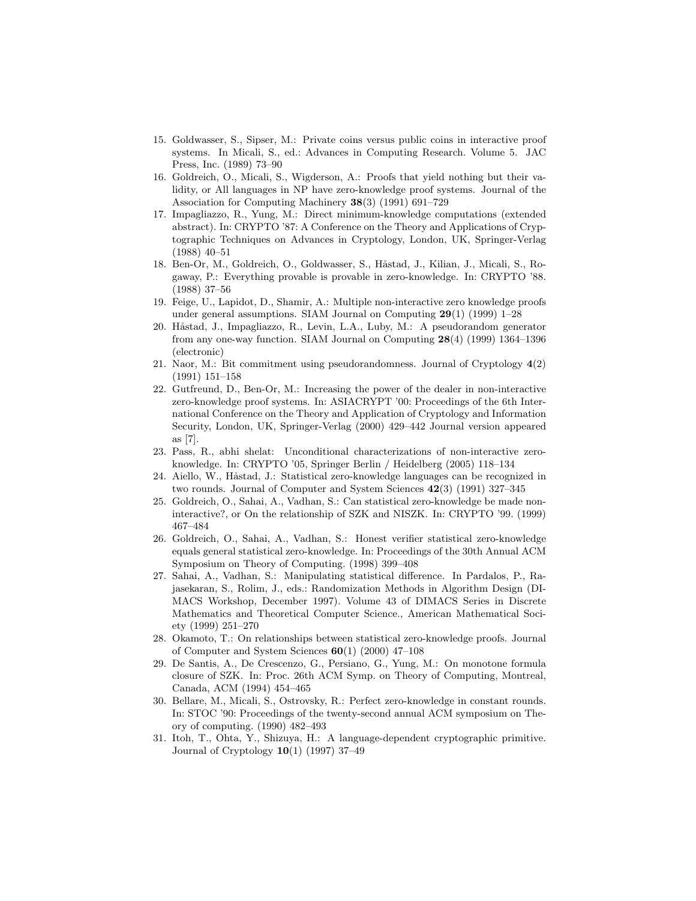- 15. Goldwasser, S., Sipser, M.: Private coins versus public coins in interactive proof systems. In Micali, S., ed.: Advances in Computing Research. Volume 5. JAC Press, Inc. (1989) 73–90
- 16. Goldreich, O., Micali, S., Wigderson, A.: Proofs that yield nothing but their validity, or All languages in NP have zero-knowledge proof systems. Journal of the Association for Computing Machinery 38(3) (1991) 691–729
- 17. Impagliazzo, R., Yung, M.: Direct minimum-knowledge computations (extended abstract). In: CRYPTO '87: A Conference on the Theory and Applications of Cryptographic Techniques on Advances in Cryptology, London, UK, Springer-Verlag (1988) 40–51
- 18. Ben-Or, M., Goldreich, O., Goldwasser, S., Håstad, J., Kilian, J., Micali, S., Rogaway, P.: Everything provable is provable in zero-knowledge. In: CRYPTO '88. (1988) 37–56
- 19. Feige, U., Lapidot, D., Shamir, A.: Multiple non-interactive zero knowledge proofs under general assumptions. SIAM Journal on Computing  $29(1)$  (1999) 1–28
- 20. Håstad, J., Impagliazzo, R., Levin, L.A., Luby, M.: A pseudorandom generator from any one-way function. SIAM Journal on Computing 28(4) (1999) 1364–1396 (electronic)
- 21. Naor, M.: Bit commitment using pseudorandomness. Journal of Cryptology 4(2) (1991) 151–158
- 22. Gutfreund, D., Ben-Or, M.: Increasing the power of the dealer in non-interactive zero-knowledge proof systems. In: ASIACRYPT '00: Proceedings of the 6th International Conference on the Theory and Application of Cryptology and Information Security, London, UK, Springer-Verlag (2000) 429–442 Journal version appeared as [7].
- 23. Pass, R., abhi shelat: Unconditional characterizations of non-interactive zeroknowledge. In: CRYPTO '05, Springer Berlin / Heidelberg (2005) 118–134
- 24. Aiello, W., Håstad, J.: Statistical zero-knowledge languages can be recognized in two rounds. Journal of Computer and System Sciences 42(3) (1991) 327–345
- 25. Goldreich, O., Sahai, A., Vadhan, S.: Can statistical zero-knowledge be made noninteractive?, or On the relationship of SZK and NISZK. In: CRYPTO '99. (1999) 467–484
- 26. Goldreich, O., Sahai, A., Vadhan, S.: Honest verifier statistical zero-knowledge equals general statistical zero-knowledge. In: Proceedings of the 30th Annual ACM Symposium on Theory of Computing. (1998) 399–408
- 27. Sahai, A., Vadhan, S.: Manipulating statistical difference. In Pardalos, P., Rajasekaran, S., Rolim, J., eds.: Randomization Methods in Algorithm Design (DI-MACS Workshop, December 1997). Volume 43 of DIMACS Series in Discrete Mathematics and Theoretical Computer Science., American Mathematical Society (1999) 251–270
- 28. Okamoto, T.: On relationships between statistical zero-knowledge proofs. Journal of Computer and System Sciences  $60(1)$  (2000) 47–108
- 29. De Santis, A., De Crescenzo, G., Persiano, G., Yung, M.: On monotone formula closure of SZK. In: Proc. 26th ACM Symp. on Theory of Computing, Montreal, Canada, ACM (1994) 454–465
- 30. Bellare, M., Micali, S., Ostrovsky, R.: Perfect zero-knowledge in constant rounds. In: STOC '90: Proceedings of the twenty-second annual ACM symposium on Theory of computing. (1990) 482–493
- 31. Itoh, T., Ohta, Y., Shizuya, H.: A language-dependent cryptographic primitive. Journal of Cryptology 10(1) (1997) 37–49